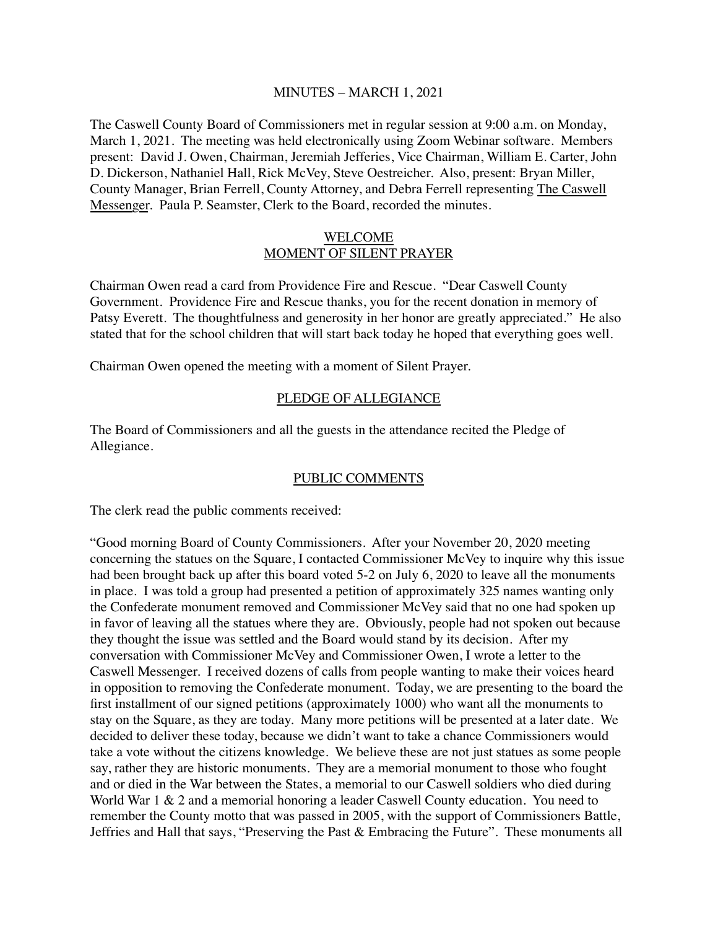#### MINUTES – MARCH 1, 2021

The Caswell County Board of Commissioners met in regular session at 9:00 a.m. on Monday, March 1, 2021. The meeting was held electronically using Zoom Webinar software. Members present: David J. Owen, Chairman, Jeremiah Jefferies, Vice Chairman, William E. Carter, John D. Dickerson, Nathaniel Hall, Rick McVey, Steve Oestreicher. Also, present: Bryan Miller, County Manager, Brian Ferrell, County Attorney, and Debra Ferrell representing The Caswell Messenger. Paula P. Seamster, Clerk to the Board, recorded the minutes.

### WELCOME MOMENT OF SILENT PRAYER

Chairman Owen read a card from Providence Fire and Rescue. "Dear Caswell County Government. Providence Fire and Rescue thanks, you for the recent donation in memory of Patsy Everett. The thoughtfulness and generosity in her honor are greatly appreciated." He also stated that for the school children that will start back today he hoped that everything goes well.

Chairman Owen opened the meeting with a moment of Silent Prayer.

### PLEDGE OF ALLEGIANCE

The Board of Commissioners and all the guests in the attendance recited the Pledge of Allegiance.

### PUBLIC COMMENTS

The clerk read the public comments received:

"Good morning Board of County Commissioners. After your November 20, 2020 meeting concerning the statues on the Square, I contacted Commissioner McVey to inquire why this issue had been brought back up after this board voted 5-2 on July 6, 2020 to leave all the monuments in place. I was told a group had presented a petition of approximately 325 names wanting only the Confederate monument removed and Commissioner McVey said that no one had spoken up in favor of leaving all the statues where they are. Obviously, people had not spoken out because they thought the issue was settled and the Board would stand by its decision. After my conversation with Commissioner McVey and Commissioner Owen, I wrote a letter to the Caswell Messenger. I received dozens of calls from people wanting to make their voices heard in opposition to removing the Confederate monument. Today, we are presenting to the board the first installment of our signed petitions (approximately 1000) who want all the monuments to stay on the Square, as they are today. Many more petitions will be presented at a later date. We decided to deliver these today, because we didn't want to take a chance Commissioners would take a vote without the citizens knowledge. We believe these are not just statues as some people say, rather they are historic monuments. They are a memorial monument to those who fought and or died in the War between the States, a memorial to our Caswell soldiers who died during World War 1 & 2 and a memorial honoring a leader Caswell County education. You need to remember the County motto that was passed in 2005, with the support of Commissioners Battle, Jeffries and Hall that says, "Preserving the Past & Embracing the Future". These monuments all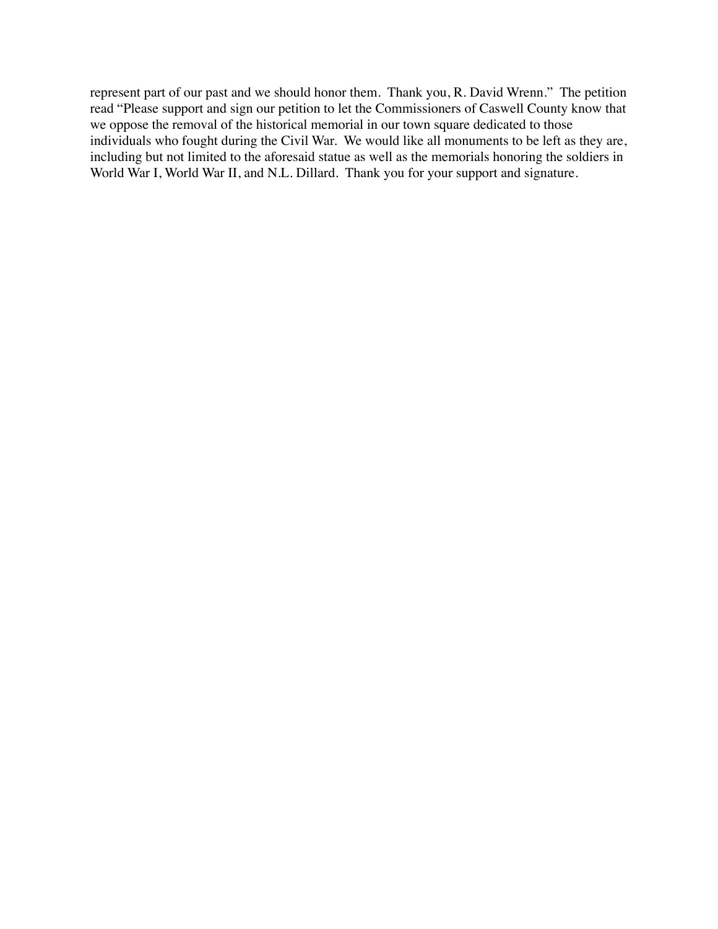represent part of our past and we should honor them. Thank you, R. David Wrenn." The petition read "Please support and sign our petition to let the Commissioners of Caswell County know that we oppose the removal of the historical memorial in our town square dedicated to those individuals who fought during the Civil War. We would like all monuments to be left as they are, including but not limited to the aforesaid statue as well as the memorials honoring the soldiers in World War I, World War II, and N.L. Dillard. Thank you for your support and signature.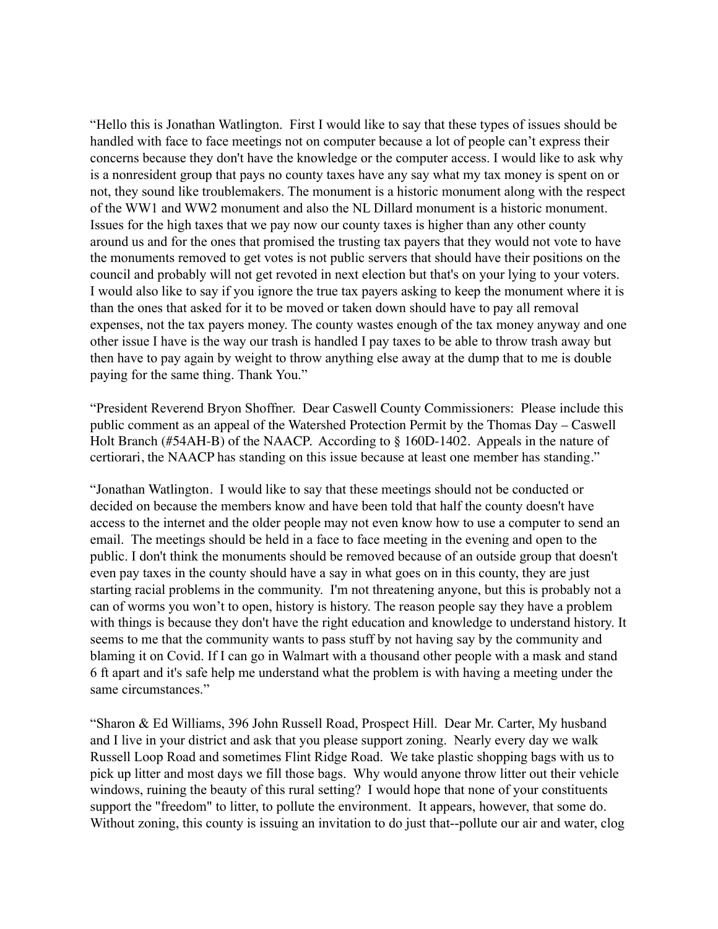"Hello this is Jonathan Watlington. First I would like to say that these types of issues should be handled with face to face meetings not on computer because a lot of people can't express their concerns because they don't have the knowledge or the computer access. I would like to ask why is a nonresident group that pays no county taxes have any say what my tax money is spent on or not, they sound like troublemakers. The monument is a historic monument along with the respect of the WW1 and WW2 monument and also the NL Dillard monument is a historic monument. Issues for the high taxes that we pay now our county taxes is higher than any other county around us and for the ones that promised the trusting tax payers that they would not vote to have the monuments removed to get votes is not public servers that should have their positions on the council and probably will not get revoted in next election but that's on your lying to your voters. I would also like to say if you ignore the true tax payers asking to keep the monument where it is than the ones that asked for it to be moved or taken down should have to pay all removal expenses, not the tax payers money. The county wastes enough of the tax money anyway and one other issue I have is the way our trash is handled I pay taxes to be able to throw trash away but then have to pay again by weight to throw anything else away at the dump that to me is double paying for the same thing. Thank You."

"President Reverend Bryon Shoffner. Dear Caswell County Commissioners: Please include this public comment as an appeal of the Watershed Protection Permit by the Thomas Day – Caswell Holt Branch (#54AH-B) of the NAACP. According to § 160D-1402. Appeals in the nature of certiorari, the NAACP has standing on this issue because at least one member has standing."

"Jonathan Watlington. I would like to say that these meetings should not be conducted or decided on because the members know and have been told that half the county doesn't have access to the internet and the older people may not even know how to use a computer to send an email. The meetings should be held in a face to face meeting in the evening and open to the public. I don't think the monuments should be removed because of an outside group that doesn't even pay taxes in the county should have a say in what goes on in this county, they are just starting racial problems in the community. I'm not threatening anyone, but this is probably not a can of worms you won't to open, history is history. The reason people say they have a problem with things is because they don't have the right education and knowledge to understand history. It seems to me that the community wants to pass stuff by not having say by the community and blaming it on Covid. If I can go in Walmart with a thousand other people with a mask and stand 6 ft apart and it's safe help me understand what the problem is with having a meeting under the same circumstances."

"Sharon & Ed Williams, 396 John Russell Road, Prospect Hill. Dear Mr. Carter, My husband and I live in your district and ask that you please support zoning. Nearly every day we walk Russell Loop Road and sometimes Flint Ridge Road. We take plastic shopping bags with us to pick up litter and most days we fill those bags. Why would anyone throw litter out their vehicle windows, ruining the beauty of this rural setting? I would hope that none of your constituents support the "freedom" to litter, to pollute the environment. It appears, however, that some do. Without zoning, this county is issuing an invitation to do just that--pollute our air and water, clog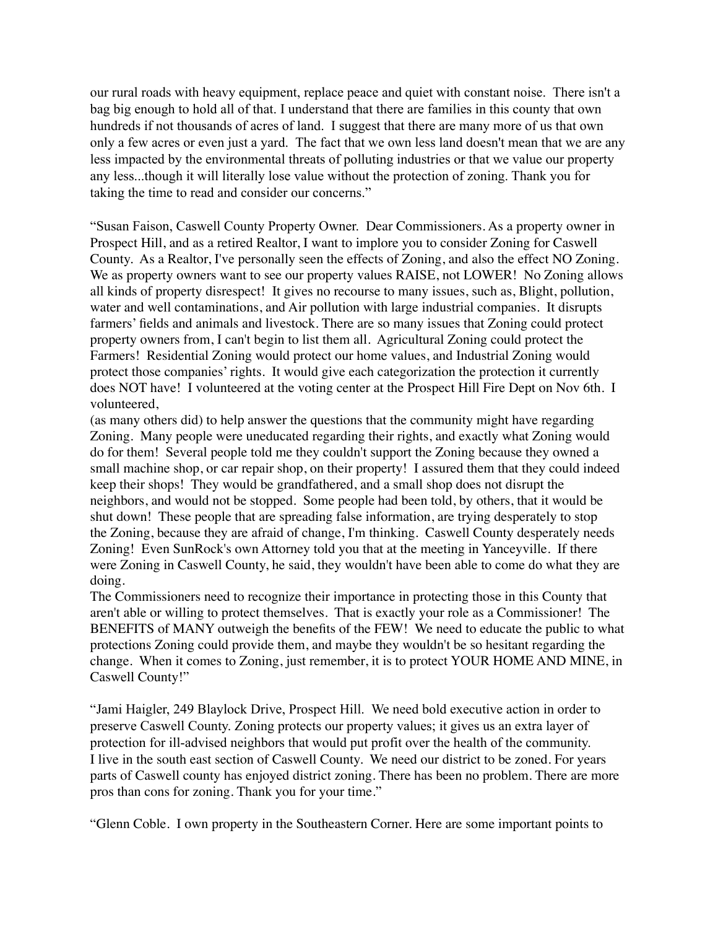our rural roads with heavy equipment, replace peace and quiet with constant noise. There isn't a bag big enough to hold all of that. I understand that there are families in this county that own hundreds if not thousands of acres of land. I suggest that there are many more of us that own only a few acres or even just a yard. The fact that we own less land doesn't mean that we are any less impacted by the environmental threats of polluting industries or that we value our property any less...though it will literally lose value without the protection of zoning. Thank you for taking the time to read and consider our concerns."

"Susan Faison, Caswell County Property Owner. Dear Commissioners. As a property owner in Prospect Hill, and as a retired Realtor, I want to implore you to consider Zoning for Caswell County. As a Realtor, I've personally seen the effects of Zoning, and also the effect NO Zoning. We as property owners want to see our property values RAISE, not LOWER! No Zoning allows all kinds of property disrespect! It gives no recourse to many issues, such as, Blight, pollution, water and well contaminations, and Air pollution with large industrial companies. It disrupts farmers' fields and animals and livestock. There are so many issues that Zoning could protect property owners from, I can't begin to list them all. Agricultural Zoning could protect the Farmers! Residential Zoning would protect our home values, and Industrial Zoning would protect those companies' rights. It would give each categorization the protection it currently does NOT have! I volunteered at the voting center at the Prospect Hill Fire Dept on Nov 6th. I volunteered,

(as many others did) to help answer the questions that the community might have regarding Zoning. Many people were uneducated regarding their rights, and exactly what Zoning would do for them! Several people told me they couldn't support the Zoning because they owned a small machine shop, or car repair shop, on their property! I assured them that they could indeed keep their shops! They would be grandfathered, and a small shop does not disrupt the neighbors, and would not be stopped. Some people had been told, by others, that it would be shut down! These people that are spreading false information, are trying desperately to stop the Zoning, because they are afraid of change, I'm thinking. Caswell County desperately needs Zoning! Even SunRock's own Attorney told you that at the meeting in Yanceyville. If there were Zoning in Caswell County, he said, they wouldn't have been able to come do what they are doing.

The Commissioners need to recognize their importance in protecting those in this County that aren't able or willing to protect themselves. That is exactly your role as a Commissioner! The BENEFITS of MANY outweigh the benefits of the FEW! We need to educate the public to what protections Zoning could provide them, and maybe they wouldn't be so hesitant regarding the change. When it comes to Zoning, just remember, it is to protect YOUR HOME AND MINE, in Caswell County!"

"Jami Haigler, 249 Blaylock Drive, Prospect Hill. We need bold executive action in order to preserve Caswell County. Zoning protects our property values; it gives us an extra layer of protection for ill-advised neighbors that would put profit over the health of the community. I live in the south east section of Caswell County. We need our district to be zoned. For years parts of Caswell county has enjoyed district zoning. There has been no problem. There are more pros than cons for zoning. Thank you for your time."

"Glenn Coble. I own property in the Southeastern Corner. Here are some important points to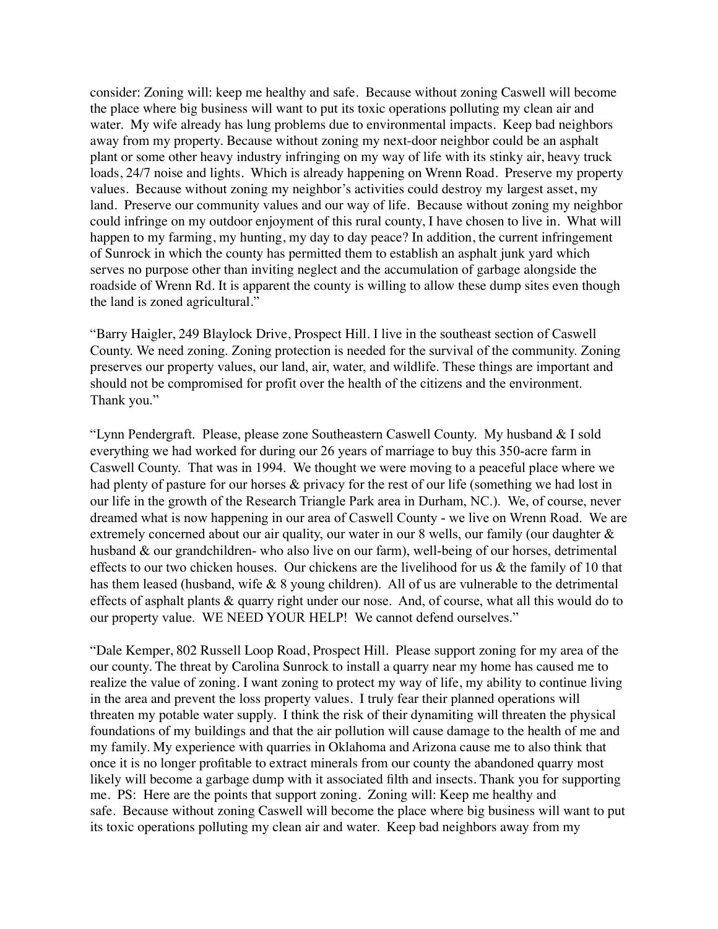consider: Zoning will: keep me healthy and safe. Because without zoning Caswell will become the place where big business will want to put its toxic operations polluting my clean air and water. My wife already has lung problems due to environmental impacts. Keep bad neighbors away from my property. Because without zoning my next-door neighbor could be an asphalt plant or some other heavy industry infringing on my way of life with its stinky air, heavy truck loads, 24/7 noise and lights. Which is already happening on Wrenn Road. Preserve my property values. Because without zoning my neighbor's activities could destroy my largest asset, my land. Preserve our community values and our way of life. Because without zoning my neighbor could infringe on my outdoor enjoyment of this rural county, I have chosen to live in. What will happen to my farming, my hunting, my day to day peace? In addition, the current infringement of Sunrock in which the county has permitted them to establish an asphalt junk yard which serves no purpose other than inviting neglect and the accumulation of garbage alongside the roadside of Wrenn Rd. It is apparent the county is willing to allow these dump sites even though the land is zoned agricultural."

"Barry Haigler, 249 Blaylock Drive, Prospect Hill. I live in the southeast section of Caswell County. We need zoning. Zoning protection is needed for the survival of the community. Zoning preserves our property values, our land, air, water, and wildlife. These things are important and should not be compromised for profit over the health of the citizens and the environment. Thank you."

"Lynn Pendergraft. Please, please zone Southeastern Caswell County. My husband & I sold everything we had worked for during our 26 years of marriage to buy this 350-acre farm in Caswell County. That was in 1994. We thought we were moving to a peaceful place where we had plenty of pasture for our horses  $\&$  privacy for the rest of our life (something we had lost in our life in the growth of the Research Triangle Park area in Durham, NC.). We, of course, never dreamed what is now happening in our area of Caswell County - we live on Wrenn Road. We are extremely concerned about our air quality, our water in our 8 wells, our family (our daughter  $\&$ husband & our grandchildren- who also live on our farm), well-being of our horses, detrimental effects to our two chicken houses. Our chickens are the livelihood for us & the family of 10 that has them leased (husband, wife & 8 young children). All of us are vulnerable to the detrimental effects of asphalt plants & quarry right under our nose. And, of course, what all this would do to our property value. WE NEED YOUR HELP! We cannot defend ourselves."

"Dale Kemper, 802 Russell Loop Road, Prospect Hill. Please support zoning for my area of the our county. The threat by Carolina Sunrock to install a quarry near my home has caused me to realize the value of zoning. I want zoning to protect my way of life, my ability to continue living in the area and prevent the loss property values. I truly fear their planned operations will threaten my potable water supply. I think the risk of their dynamiting will threaten the physical foundations of my buildings and that the air pollution will cause damage to the health of me and my family. My experience with quarries in Oklahoma and Arizona cause me to also think that once it is no longer profitable to extract minerals from our county the abandoned quarry most likely will become a garbage dump with it associated filth and insects. Thank you for supporting me. PS: Here are the points that support zoning. Zoning will: Keep me healthy and safe. Because without zoning Caswell will become the place where big business will want to put its toxic operations polluting my clean air and water. Keep bad neighbors away from my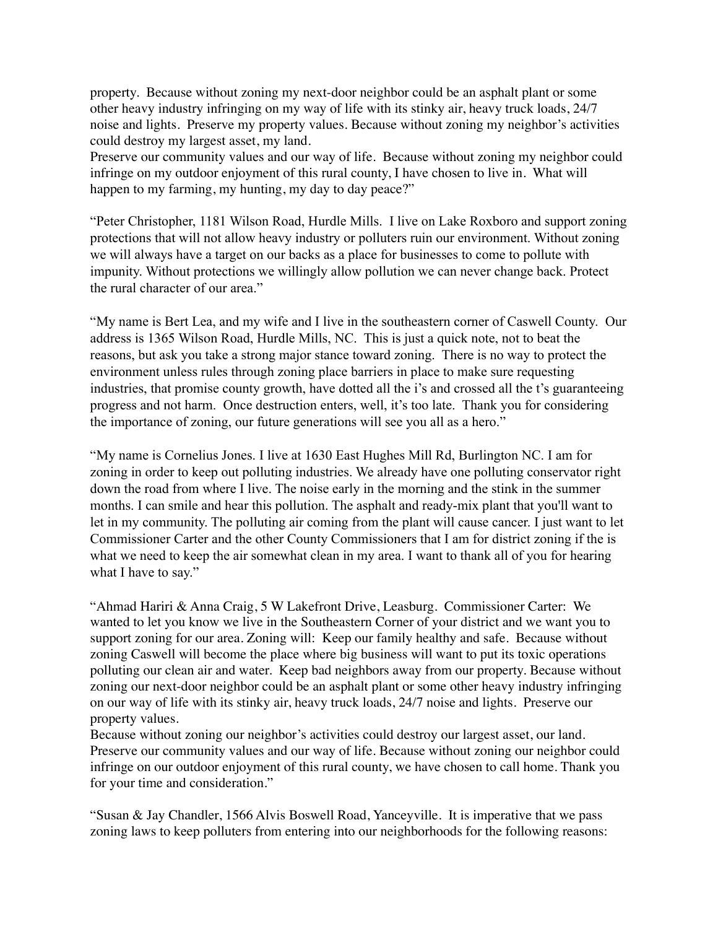property. Because without zoning my next-door neighbor could be an asphalt plant or some other heavy industry infringing on my way of life with its stinky air, heavy truck loads, 24/7 noise and lights. Preserve my property values. Because without zoning my neighbor's activities could destroy my largest asset, my land.

Preserve our community values and our way of life. Because without zoning my neighbor could infringe on my outdoor enjoyment of this rural county, I have chosen to live in. What will happen to my farming, my hunting, my day to day peace?"

"Peter Christopher, 1181 Wilson Road, Hurdle Mills. I live on Lake Roxboro and support zoning protections that will not allow heavy industry or polluters ruin our environment. Without zoning we will always have a target on our backs as a place for businesses to come to pollute with impunity. Without protections we willingly allow pollution we can never change back. Protect the rural character of our area."

"My name is Bert Lea, and my wife and I live in the southeastern corner of Caswell County. Our address is 1365 Wilson Road, Hurdle Mills, NC. This is just a quick note, not to beat the reasons, but ask you take a strong major stance toward zoning. There is no way to protect the environment unless rules through zoning place barriers in place to make sure requesting industries, that promise county growth, have dotted all the i's and crossed all the t's guaranteeing progress and not harm. Once destruction enters, well, it's too late. Thank you for considering the importance of zoning, our future generations will see you all as a hero."

"My name is Cornelius Jones. I live at 1630 East Hughes Mill Rd, Burlington NC. I am for zoning in order to keep out polluting industries. We already have one polluting conservator right down the road from where I live. The noise early in the morning and the stink in the summer months. I can smile and hear this pollution. The asphalt and ready-mix plant that you'll want to let in my community. The polluting air coming from the plant will cause cancer. I just want to let Commissioner Carter and the other County Commissioners that I am for district zoning if the is what we need to keep the air somewhat clean in my area. I want to thank all of you for hearing what I have to say."

"Ahmad Hariri & Anna Craig, 5 W Lakefront Drive, Leasburg. Commissioner Carter: We wanted to let you know we live in the Southeastern Corner of your district and we want you to support zoning for our area. Zoning will: Keep our family healthy and safe. Because without zoning Caswell will become the place where big business will want to put its toxic operations polluting our clean air and water. Keep bad neighbors away from our property. Because without zoning our next-door neighbor could be an asphalt plant or some other heavy industry infringing on our way of life with its stinky air, heavy truck loads, 24/7 noise and lights. Preserve our property values.

Because without zoning our neighbor's activities could destroy our largest asset, our land. Preserve our community values and our way of life. Because without zoning our neighbor could infringe on our outdoor enjoyment of this rural county, we have chosen to call home. Thank you for your time and consideration."

"Susan & Jay Chandler, 1566 Alvis Boswell Road, Yanceyville. It is imperative that we pass zoning laws to keep polluters from entering into our neighborhoods for the following reasons: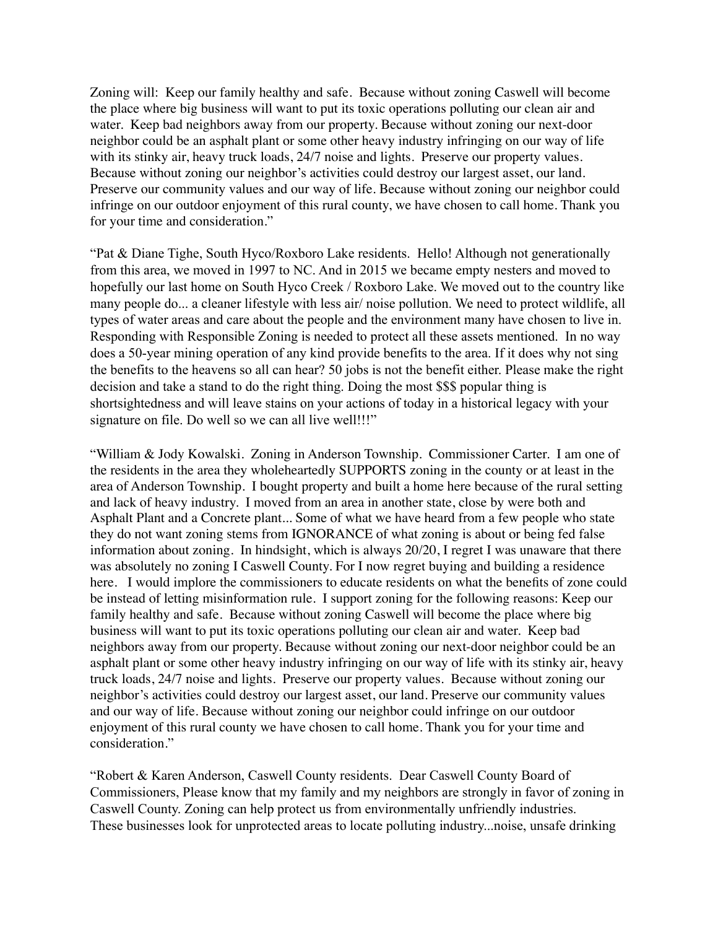Zoning will: Keep our family healthy and safe. Because without zoning Caswell will become the place where big business will want to put its toxic operations polluting our clean air and water. Keep bad neighbors away from our property. Because without zoning our next-door neighbor could be an asphalt plant or some other heavy industry infringing on our way of life with its stinky air, heavy truck loads, 24/7 noise and lights. Preserve our property values. Because without zoning our neighbor's activities could destroy our largest asset, our land. Preserve our community values and our way of life. Because without zoning our neighbor could infringe on our outdoor enjoyment of this rural county, we have chosen to call home. Thank you for your time and consideration."

"Pat & Diane Tighe, South Hyco/Roxboro Lake residents. Hello! Although not generationally from this area, we moved in 1997 to NC. And in 2015 we became empty nesters and moved to hopefully our last home on South Hyco Creek / Roxboro Lake. We moved out to the country like many people do... a cleaner lifestyle with less air/ noise pollution. We need to protect wildlife, all types of water areas and care about the people and the environment many have chosen to live in. Responding with Responsible Zoning is needed to protect all these assets mentioned. In no way does a 50-year mining operation of any kind provide benefits to the area. If it does why not sing the benefits to the heavens so all can hear? 50 jobs is not the benefit either. Please make the right decision and take a stand to do the right thing. Doing the most \$\$\$ popular thing is shortsightedness and will leave stains on your actions of today in a historical legacy with your signature on file. Do well so we can all live well!!!"

"William & Jody Kowalski. Zoning in Anderson Township. Commissioner Carter. I am one of the residents in the area they wholeheartedly SUPPORTS zoning in the county or at least in the area of Anderson Township. I bought property and built a home here because of the rural setting and lack of heavy industry. I moved from an area in another state, close by were both and Asphalt Plant and a Concrete plant... Some of what we have heard from a few people who state they do not want zoning stems from IGNORANCE of what zoning is about or being fed false information about zoning. In hindsight, which is always 20/20, I regret I was unaware that there was absolutely no zoning I Caswell County. For I now regret buying and building a residence here. I would implore the commissioners to educate residents on what the benefits of zone could be instead of letting misinformation rule. I support zoning for the following reasons: Keep our family healthy and safe. Because without zoning Caswell will become the place where big business will want to put its toxic operations polluting our clean air and water. Keep bad neighbors away from our property. Because without zoning our next-door neighbor could be an asphalt plant or some other heavy industry infringing on our way of life with its stinky air, heavy truck loads, 24/7 noise and lights. Preserve our property values. Because without zoning our neighbor's activities could destroy our largest asset, our land. Preserve our community values and our way of life. Because without zoning our neighbor could infringe on our outdoor enjoyment of this rural county we have chosen to call home. Thank you for your time and consideration."

"Robert & Karen Anderson, Caswell County residents. Dear Caswell County Board of Commissioners, Please know that my family and my neighbors are strongly in favor of zoning in Caswell County. Zoning can help protect us from environmentally unfriendly industries. These businesses look for unprotected areas to locate polluting industry...noise, unsafe drinking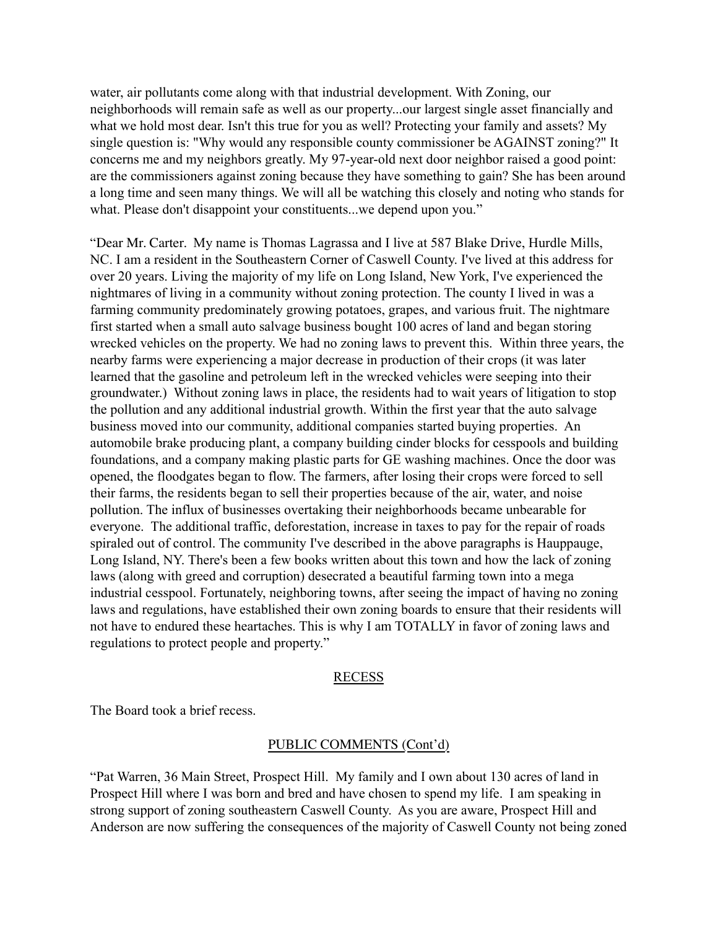water, air pollutants come along with that industrial development. With Zoning, our neighborhoods will remain safe as well as our property...our largest single asset financially and what we hold most dear. Isn't this true for you as well? Protecting your family and assets? My single question is: "Why would any responsible county commissioner be AGAINST zoning?" It concerns me and my neighbors greatly. My 97-year-old next door neighbor raised a good point: are the commissioners against zoning because they have something to gain? She has been around a long time and seen many things. We will all be watching this closely and noting who stands for what. Please don't disappoint your constituents...we depend upon you."

"Dear Mr. Carter. My name is Thomas Lagrassa and I live at 587 Blake Drive, Hurdle Mills, NC. I am a resident in the Southeastern Corner of Caswell County. I've lived at this address for over 20 years. Living the majority of my life on Long Island, New York, I've experienced the nightmares of living in a community without zoning protection. The county I lived in was a farming community predominately growing potatoes, grapes, and various fruit. The nightmare first started when a small auto salvage business bought 100 acres of land and began storing wrecked vehicles on the property. We had no zoning laws to prevent this. Within three years, the nearby farms were experiencing a major decrease in production of their crops (it was later learned that the gasoline and petroleum left in the wrecked vehicles were seeping into their groundwater.) Without zoning laws in place, the residents had to wait years of litigation to stop the pollution and any additional industrial growth. Within the first year that the auto salvage business moved into our community, additional companies started buying properties. An automobile brake producing plant, a company building cinder blocks for cesspools and building foundations, and a company making plastic parts for GE washing machines. Once the door was opened, the floodgates began to flow. The farmers, after losing their crops were forced to sell their farms, the residents began to sell their properties because of the air, water, and noise pollution. The influx of businesses overtaking their neighborhoods became unbearable for everyone. The additional traffic, deforestation, increase in taxes to pay for the repair of roads spiraled out of control. The community I've described in the above paragraphs is Hauppauge, Long Island, NY. There's been a few books written about this town and how the lack of zoning laws (along with greed and corruption) desecrated a beautiful farming town into a mega industrial cesspool. Fortunately, neighboring towns, after seeing the impact of having no zoning laws and regulations, have established their own zoning boards to ensure that their residents will not have to endured these heartaches. This is why I am TOTALLY in favor of zoning laws and regulations to protect people and property."

### RECESS

The Board took a brief recess.

## PUBLIC COMMENTS (Cont'd)

"Pat Warren, 36 Main Street, Prospect Hill. My family and I own about 130 acres of land in Prospect Hill where I was born and bred and have chosen to spend my life. I am speaking in strong support of zoning southeastern Caswell County. As you are aware, Prospect Hill and Anderson are now suffering the consequences of the majority of Caswell County not being zoned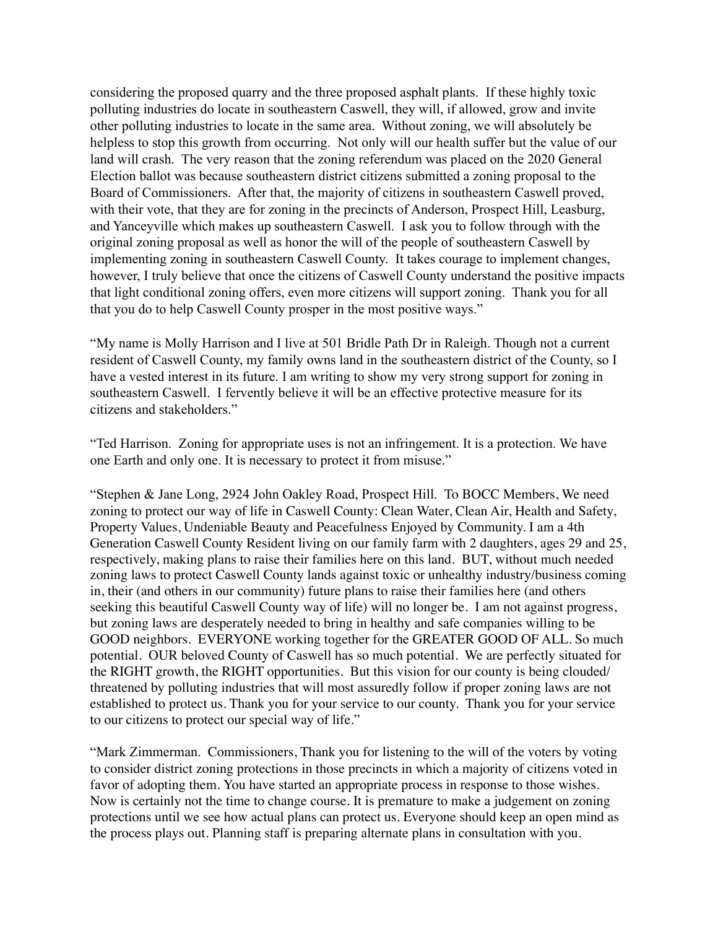considering the proposed quarry and the three proposed asphalt plants. If these highly toxic polluting industries do locate in southeastern Caswell, they will, if allowed, grow and invite other polluting industries to locate in the same area. Without zoning, we will absolutely be helpless to stop this growth from occurring. Not only will our health suffer but the value of our land will crash. The very reason that the zoning referendum was placed on the 2020 General Election ballot was because southeastern district citizens submitted a zoning proposal to the Board of Commissioners. After that, the majority of citizens in southeastern Caswell proved, with their vote, that they are for zoning in the precincts of Anderson, Prospect Hill, Leasburg, and Yanceyville which makes up southeastern Caswell. I ask you to follow through with the original zoning proposal as well as honor the will of the people of southeastern Caswell by implementing zoning in southeastern Caswell County. It takes courage to implement changes, however, I truly believe that once the citizens of Caswell County understand the positive impacts that light conditional zoning offers, even more citizens will support zoning. Thank you for all that you do to help Caswell County prosper in the most positive ways."

"My name is Molly Harrison and I live at 501 Bridle Path Dr in Raleigh. Though not a current resident of Caswell County, my family owns land in the southeastern district of the County, so I have a vested interest in its future. I am writing to show my very strong support for zoning in southeastern Caswell. I fervently believe it will be an effective protective measure for its citizens and stakeholders."

"Ted Harrison. Zoning for appropriate uses is not an infringement. It is a protection. We have one Earth and only one. It is necessary to protect it from misuse."

"Stephen & Jane Long, 2924 John Oakley Road, Prospect Hill. To BOCC Members, We need zoning to protect our way of life in Caswell County: Clean Water, Clean Air, Health and Safety, Property Values, Undeniable Beauty and Peacefulness Enjoyed by Community. I am a 4th Generation Caswell County Resident living on our family farm with 2 daughters, ages 29 and 25, respectively, making plans to raise their families here on this land. BUT, without much needed zoning laws to protect Caswell County lands against toxic or unhealthy industry/business coming in, their (and others in our community) future plans to raise their families here (and others seeking this beautiful Caswell County way of life) will no longer be. I am not against progress, but zoning laws are desperately needed to bring in healthy and safe companies willing to be GOOD neighbors. EVERYONE working together for the GREATER GOOD OF ALL. So much potential. OUR beloved County of Caswell has so much potential. We are perfectly situated for the RIGHT growth, the RIGHT opportunities. But this vision for our county is being clouded/ threatened by polluting industries that will most assuredly follow if proper zoning laws are not established to protect us. Thank you for your service to our county. Thank you for your service to our citizens to protect our special way of life."

"Mark Zimmerman. Commissioners, Thank you for listening to the will of the voters by voting to consider district zoning protections in those precincts in which a majority of citizens voted in favor of adopting them. You have started an appropriate process in response to those wishes. Now is certainly not the time to change course. It is premature to make a judgement on zoning protections until we see how actual plans can protect us. Everyone should keep an open mind as the process plays out. Planning staff is preparing alternate plans in consultation with you.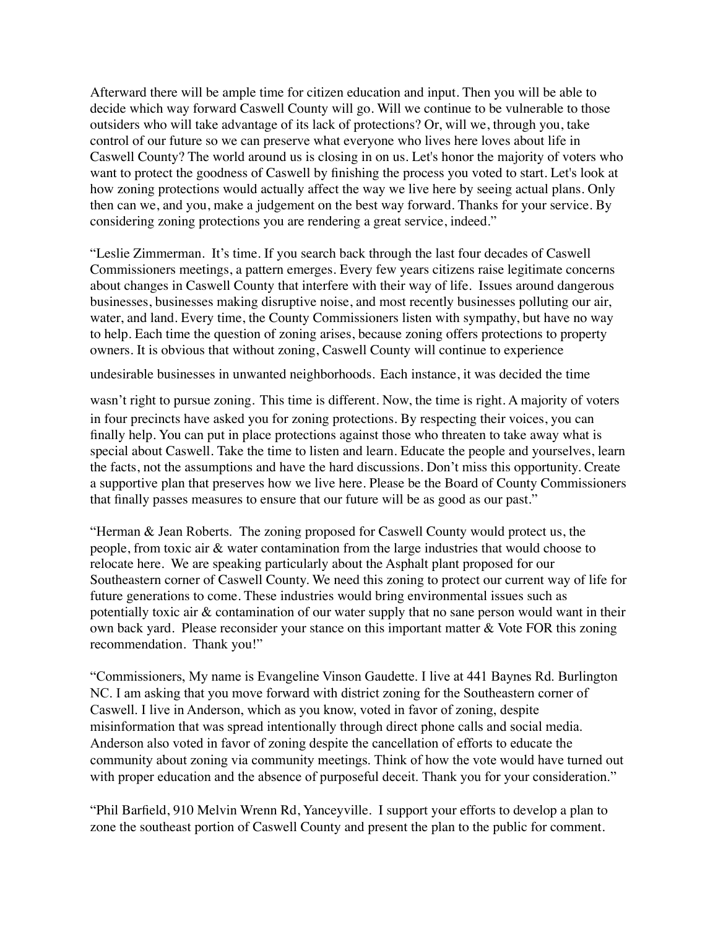Afterward there will be ample time for citizen education and input. Then you will be able to decide which way forward Caswell County will go. Will we continue to be vulnerable to those outsiders who will take advantage of its lack of protections? Or, will we, through you, take control of our future so we can preserve what everyone who lives here loves about life in Caswell County? The world around us is closing in on us. Let's honor the majority of voters who want to protect the goodness of Caswell by finishing the process you voted to start. Let's look at how zoning protections would actually affect the way we live here by seeing actual plans. Only then can we, and you, make a judgement on the best way forward. Thanks for your service. By considering zoning protections you are rendering a great service, indeed."

"Leslie Zimmerman. It's time. If you search back through the last four decades of Caswell Commissioners meetings, a pattern emerges. Every few years citizens raise legitimate concerns about changes in Caswell County that interfere with their way of life. Issues around dangerous businesses, businesses making disruptive noise, and most recently businesses polluting our air, water, and land. Every time, the County Commissioners listen with sympathy, but have no way to help. Each time the question of zoning arises, because zoning offers protections to property owners. It is obvious that without zoning, Caswell County will continue to experience

undesirable businesses in unwanted neighborhoods. Each instance, it was decided the time

wasn't right to pursue zoning. This time is different. Now, the time is right. A majority of voters in four precincts have asked you for zoning protections. By respecting their voices, you can finally help. You can put in place protections against those who threaten to take away what is special about Caswell. Take the time to listen and learn. Educate the people and yourselves, learn the facts, not the assumptions and have the hard discussions. Don't miss this opportunity. Create a supportive plan that preserves how we live here. Please be the Board of County Commissioners that finally passes measures to ensure that our future will be as good as our past."

"Herman & Jean Roberts. The zoning proposed for Caswell County would protect us, the people, from toxic air & water contamination from the large industries that would choose to relocate here. We are speaking particularly about the Asphalt plant proposed for our Southeastern corner of Caswell County. We need this zoning to protect our current way of life for future generations to come. These industries would bring environmental issues such as potentially toxic air & contamination of our water supply that no sane person would want in their own back yard. Please reconsider your stance on this important matter & Vote FOR this zoning recommendation. Thank you!"

"Commissioners, My name is Evangeline Vinson Gaudette. I live at 441 Baynes Rd. Burlington NC. I am asking that you move forward with district zoning for the Southeastern corner of Caswell. I live in Anderson, which as you know, voted in favor of zoning, despite misinformation that was spread intentionally through direct phone calls and social media. Anderson also voted in favor of zoning despite the cancellation of efforts to educate the community about zoning via community meetings. Think of how the vote would have turned out with proper education and the absence of purposeful deceit. Thank you for your consideration."

"Phil Barfield, 910 Melvin Wrenn Rd, Yanceyville. I support your efforts to develop a plan to zone the southeast portion of Caswell County and present the plan to the public for comment.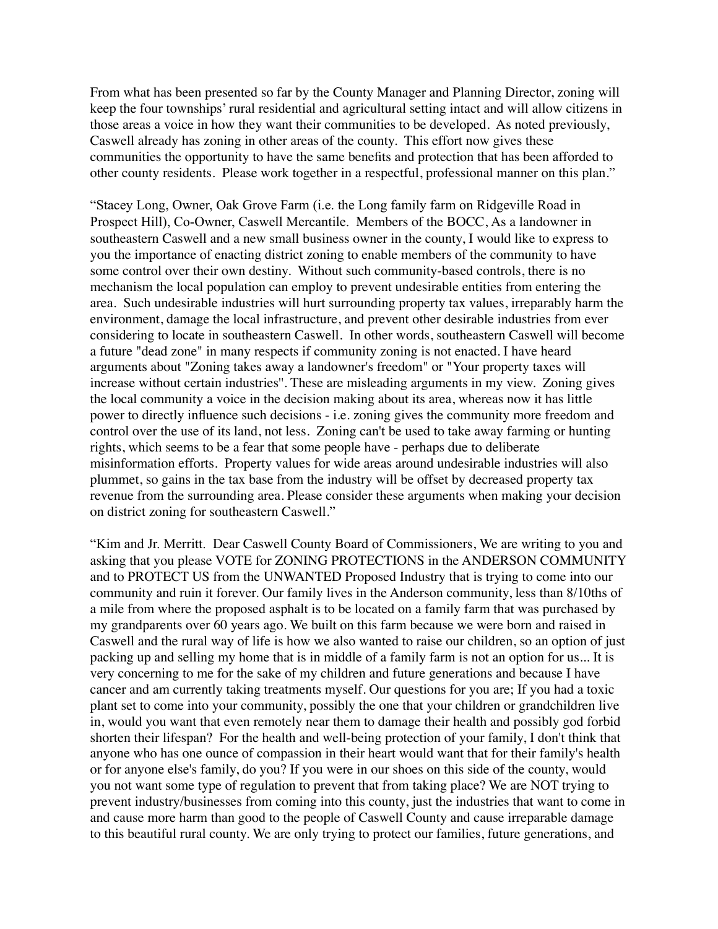From what has been presented so far by the County Manager and Planning Director, zoning will keep the four townships' rural residential and agricultural setting intact and will allow citizens in those areas a voice in how they want their communities to be developed. As noted previously, Caswell already has zoning in other areas of the county. This effort now gives these communities the opportunity to have the same benefits and protection that has been afforded to other county residents. Please work together in a respectful, professional manner on this plan."

"Stacey Long, Owner, Oak Grove Farm (i.e. the Long family farm on Ridgeville Road in Prospect Hill), Co-Owner, Caswell Mercantile. Members of the BOCC, As a landowner in southeastern Caswell and a new small business owner in the county, I would like to express to you the importance of enacting district zoning to enable members of the community to have some control over their own destiny. Without such community-based controls, there is no mechanism the local population can employ to prevent undesirable entities from entering the area. Such undesirable industries will hurt surrounding property tax values, irreparably harm the environment, damage the local infrastructure, and prevent other desirable industries from ever considering to locate in southeastern Caswell. In other words, southeastern Caswell will become a future "dead zone" in many respects if community zoning is not enacted. I have heard arguments about "Zoning takes away a landowner's freedom" or "Your property taxes will increase without certain industries''. These are misleading arguments in my view. Zoning gives the local community a voice in the decision making about its area, whereas now it has little power to directly influence such decisions - i.e. zoning gives the community more freedom and control over the use of its land, not less. Zoning can't be used to take away farming or hunting rights, which seems to be a fear that some people have - perhaps due to deliberate misinformation efforts. Property values for wide areas around undesirable industries will also plummet, so gains in the tax base from the industry will be offset by decreased property tax revenue from the surrounding area. Please consider these arguments when making your decision on district zoning for southeastern Caswell."

"Kim and Jr. Merritt. Dear Caswell County Board of Commissioners, We are writing to you and asking that you please VOTE for ZONING PROTECTIONS in the ANDERSON COMMUNITY and to PROTECT US from the UNWANTED Proposed Industry that is trying to come into our community and ruin it forever. Our family lives in the Anderson community, less than 8/10ths of a mile from where the proposed asphalt is to be located on a family farm that was purchased by my grandparents over 60 years ago. We built on this farm because we were born and raised in Caswell and the rural way of life is how we also wanted to raise our children, so an option of just packing up and selling my home that is in middle of a family farm is not an option for us... It is very concerning to me for the sake of my children and future generations and because I have cancer and am currently taking treatments myself. Our questions for you are; If you had a toxic plant set to come into your community, possibly the one that your children or grandchildren live in, would you want that even remotely near them to damage their health and possibly god forbid shorten their lifespan? For the health and well-being protection of your family, I don't think that anyone who has one ounce of compassion in their heart would want that for their family's health or for anyone else's family, do you? If you were in our shoes on this side of the county, would you not want some type of regulation to prevent that from taking place? We are NOT trying to prevent industry/businesses from coming into this county, just the industries that want to come in and cause more harm than good to the people of Caswell County and cause irreparable damage to this beautiful rural county. We are only trying to protect our families, future generations, and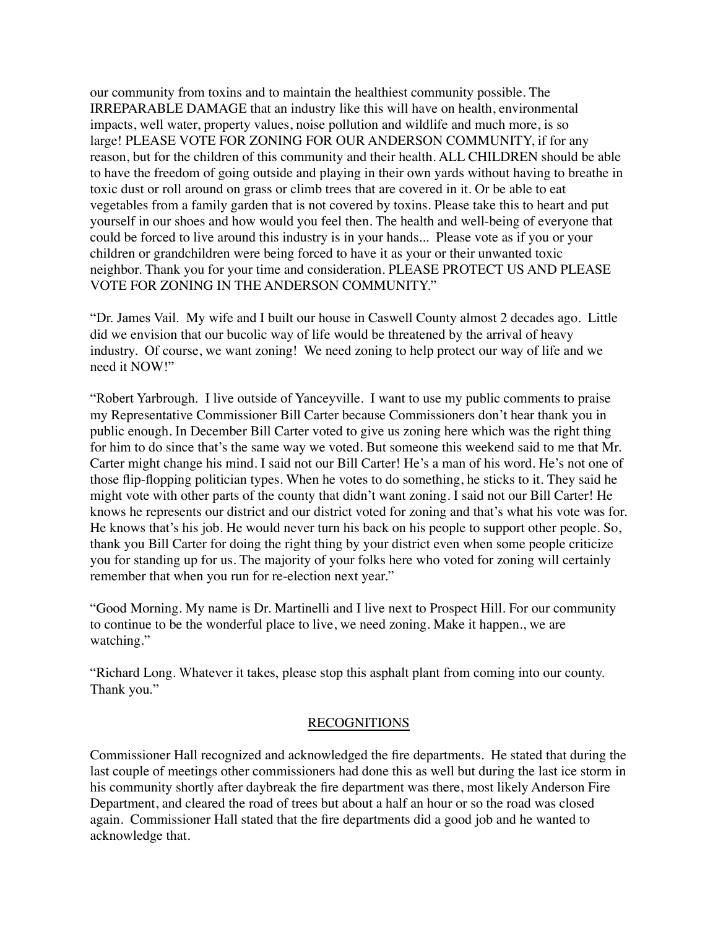our community from toxins and to maintain the healthiest community possible. The IRREPARABLE DAMAGE that an industry like this will have on health, environmental impacts, well water, property values, noise pollution and wildlife and much more, is so large! PLEASE VOTE FOR ZONING FOR OUR ANDERSON COMMUNITY, if for any reason, but for the children of this community and their health. ALL CHILDREN should be able to have the freedom of going outside and playing in their own yards without having to breathe in toxic dust or roll around on grass or climb trees that are covered in it. Or be able to eat vegetables from a family garden that is not covered by toxins. Please take this to heart and put yourself in our shoes and how would you feel then. The health and well-being of everyone that could be forced to live around this industry is in your hands... Please vote as if you or your children or grandchildren were being forced to have it as your or their unwanted toxic neighbor. Thank you for your time and consideration. PLEASE PROTECT US AND PLEASE VOTE FOR ZONING IN THE ANDERSON COMMUNITY."

"Dr. James Vail. My wife and I built our house in Caswell County almost 2 decades ago. Little did we envision that our bucolic way of life would be threatened by the arrival of heavy industry. Of course, we want zoning! We need zoning to help protect our way of life and we need it NOW!"

"Robert Yarbrough. I live outside of Yanceyville. I want to use my public comments to praise my Representative Commissioner Bill Carter because Commissioners don't hear thank you in public enough. In December Bill Carter voted to give us zoning here which was the right thing for him to do since that's the same way we voted. But someone this weekend said to me that Mr. Carter might change his mind. I said not our Bill Carter! He's a man of his word. He's not one of those flip-flopping politician types. When he votes to do something, he sticks to it. They said he might vote with other parts of the county that didn't want zoning. I said not our Bill Carter! He knows he represents our district and our district voted for zoning and that's what his vote was for. He knows that's his job. He would never turn his back on his people to support other people. So, thank you Bill Carter for doing the right thing by your district even when some people criticize you for standing up for us. The majority of your folks here who voted for zoning will certainly remember that when you run for re-election next year."

"Good Morning. My name is Dr. Martinelli and I live next to Prospect Hill. For our community to continue to be the wonderful place to live, we need zoning. Make it happen., we are watching."

"Richard Long. Whatever it takes, please stop this asphalt plant from coming into our county. Thank you."

## RECOGNITIONS

Commissioner Hall recognized and acknowledged the fire departments. He stated that during the last couple of meetings other commissioners had done this as well but during the last ice storm in his community shortly after daybreak the fire department was there, most likely Anderson Fire Department, and cleared the road of trees but about a half an hour or so the road was closed again. Commissioner Hall stated that the fire departments did a good job and he wanted to acknowledge that.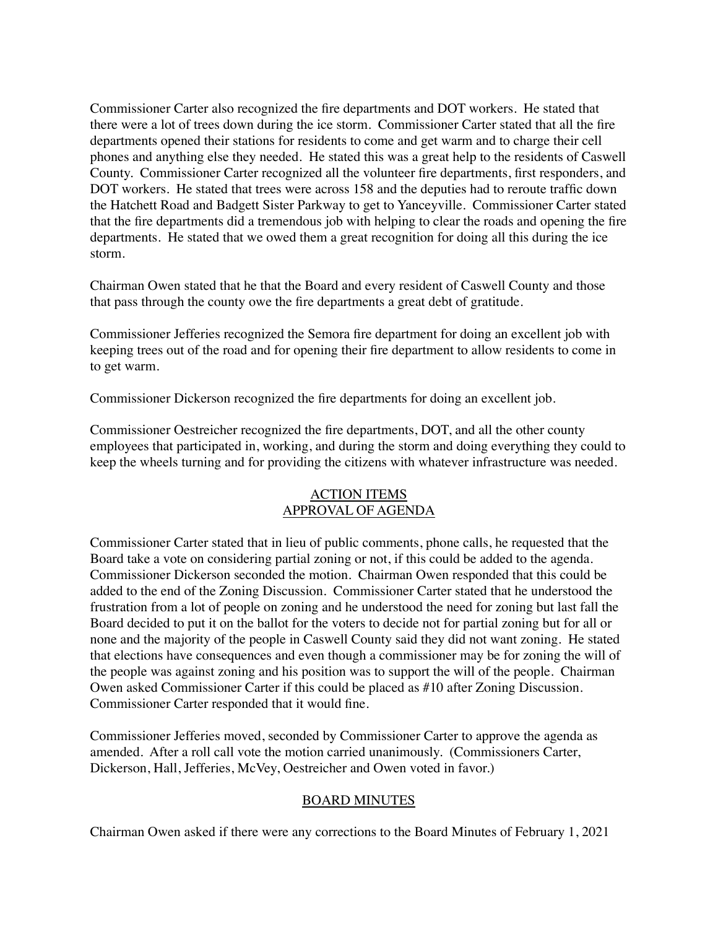Commissioner Carter also recognized the fire departments and DOT workers. He stated that there were a lot of trees down during the ice storm. Commissioner Carter stated that all the fire departments opened their stations for residents to come and get warm and to charge their cell phones and anything else they needed. He stated this was a great help to the residents of Caswell County. Commissioner Carter recognized all the volunteer fire departments, first responders, and DOT workers. He stated that trees were across 158 and the deputies had to reroute traffic down the Hatchett Road and Badgett Sister Parkway to get to Yanceyville. Commissioner Carter stated that the fire departments did a tremendous job with helping to clear the roads and opening the fire departments. He stated that we owed them a great recognition for doing all this during the ice storm.

Chairman Owen stated that he that the Board and every resident of Caswell County and those that pass through the county owe the fire departments a great debt of gratitude.

Commissioner Jefferies recognized the Semora fire department for doing an excellent job with keeping trees out of the road and for opening their fire department to allow residents to come in to get warm.

Commissioner Dickerson recognized the fire departments for doing an excellent job.

Commissioner Oestreicher recognized the fire departments, DOT, and all the other county employees that participated in, working, and during the storm and doing everything they could to keep the wheels turning and for providing the citizens with whatever infrastructure was needed.

## ACTION ITEMS APPROVAL OF AGENDA

Commissioner Carter stated that in lieu of public comments, phone calls, he requested that the Board take a vote on considering partial zoning or not, if this could be added to the agenda. Commissioner Dickerson seconded the motion. Chairman Owen responded that this could be added to the end of the Zoning Discussion. Commissioner Carter stated that he understood the frustration from a lot of people on zoning and he understood the need for zoning but last fall the Board decided to put it on the ballot for the voters to decide not for partial zoning but for all or none and the majority of the people in Caswell County said they did not want zoning. He stated that elections have consequences and even though a commissioner may be for zoning the will of the people was against zoning and his position was to support the will of the people. Chairman Owen asked Commissioner Carter if this could be placed as #10 after Zoning Discussion. Commissioner Carter responded that it would fine.

Commissioner Jefferies moved, seconded by Commissioner Carter to approve the agenda as amended. After a roll call vote the motion carried unanimously. (Commissioners Carter, Dickerson, Hall, Jefferies, McVey, Oestreicher and Owen voted in favor.)

## BOARD MINUTES

Chairman Owen asked if there were any corrections to the Board Minutes of February 1, 2021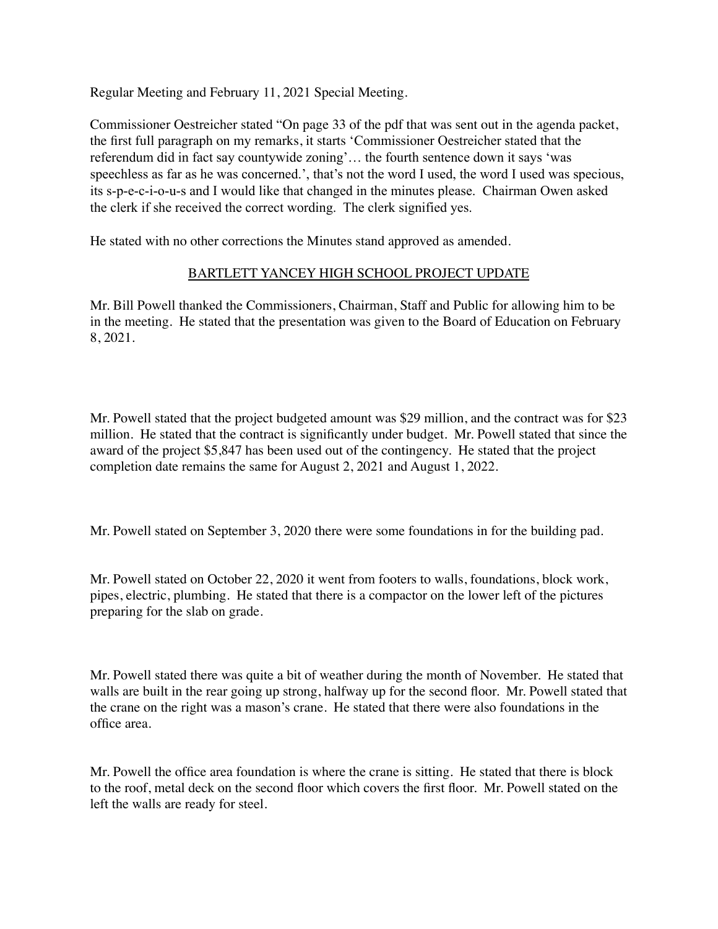Regular Meeting and February 11, 2021 Special Meeting.

Commissioner Oestreicher stated "On page 33 of the pdf that was sent out in the agenda packet, the first full paragraph on my remarks, it starts 'Commissioner Oestreicher stated that the referendum did in fact say countywide zoning'… the fourth sentence down it says 'was speechless as far as he was concerned.', that's not the word I used, the word I used was specious, its s-p-e-c-i-o-u-s and I would like that changed in the minutes please. Chairman Owen asked the clerk if she received the correct wording. The clerk signified yes.

He stated with no other corrections the Minutes stand approved as amended.

## BARTLETT YANCEY HIGH SCHOOL PROJECT UPDATE

Mr. Bill Powell thanked the Commissioners, Chairman, Staff and Public for allowing him to be in the meeting. He stated that the presentation was given to the Board of Education on February 8, 2021.

Mr. Powell stated that the project budgeted amount was \$29 million, and the contract was for \$23 million. He stated that the contract is significantly under budget. Mr. Powell stated that since the award of the project \$5,847 has been used out of the contingency. He stated that the project completion date remains the same for August 2, 2021 and August 1, 2022.

Mr. Powell stated on September 3, 2020 there were some foundations in for the building pad.

Mr. Powell stated on October 22, 2020 it went from footers to walls, foundations, block work, pipes, electric, plumbing. He stated that there is a compactor on the lower left of the pictures preparing for the slab on grade.

Mr. Powell stated there was quite a bit of weather during the month of November. He stated that walls are built in the rear going up strong, halfway up for the second floor. Mr. Powell stated that the crane on the right was a mason's crane. He stated that there were also foundations in the office area.

Mr. Powell the office area foundation is where the crane is sitting. He stated that there is block to the roof, metal deck on the second floor which covers the first floor. Mr. Powell stated on the left the walls are ready for steel.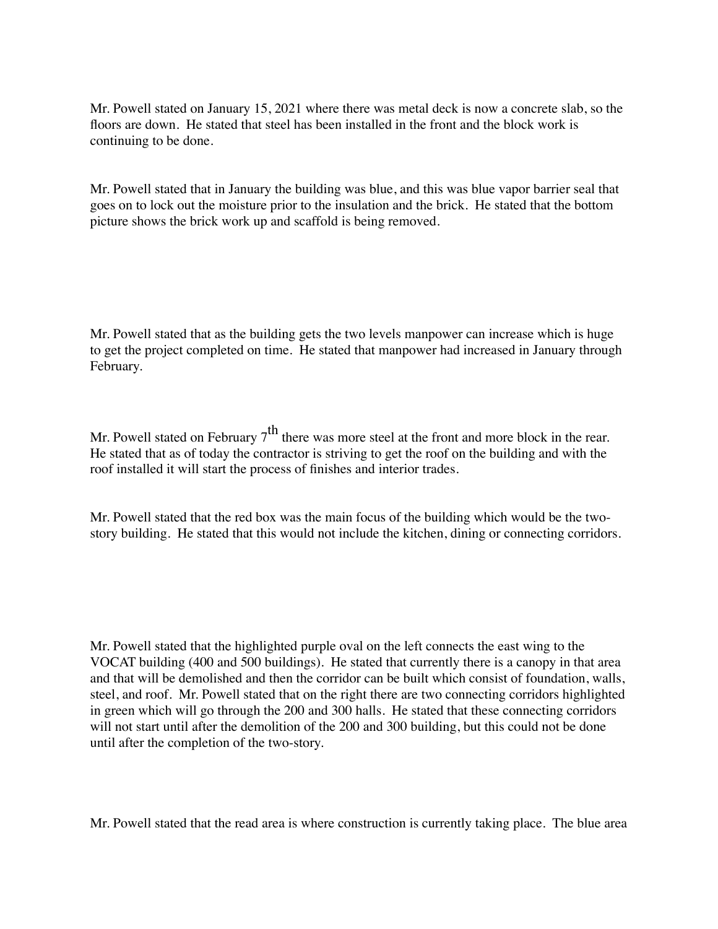Mr. Powell stated on January 15, 2021 where there was metal deck is now a concrete slab, so the floors are down. He stated that steel has been installed in the front and the block work is continuing to be done.

Mr. Powell stated that in January the building was blue, and this was blue vapor barrier seal that goes on to lock out the moisture prior to the insulation and the brick. He stated that the bottom picture shows the brick work up and scaffold is being removed.

Mr. Powell stated that as the building gets the two levels manpower can increase which is huge to get the project completed on time. He stated that manpower had increased in January through February.

Mr. Powell stated on February  $7<sup>th</sup>$  there was more steel at the front and more block in the rear. He stated that as of today the contractor is striving to get the roof on the building and with the roof installed it will start the process of finishes and interior trades.

Mr. Powell stated that the red box was the main focus of the building which would be the twostory building. He stated that this would not include the kitchen, dining or connecting corridors.

Mr. Powell stated that the highlighted purple oval on the left connects the east wing to the VOCAT building (400 and 500 buildings). He stated that currently there is a canopy in that area and that will be demolished and then the corridor can be built which consist of foundation, walls, steel, and roof. Mr. Powell stated that on the right there are two connecting corridors highlighted in green which will go through the 200 and 300 halls. He stated that these connecting corridors will not start until after the demolition of the 200 and 300 building, but this could not be done until after the completion of the two-story.

Mr. Powell stated that the read area is where construction is currently taking place. The blue area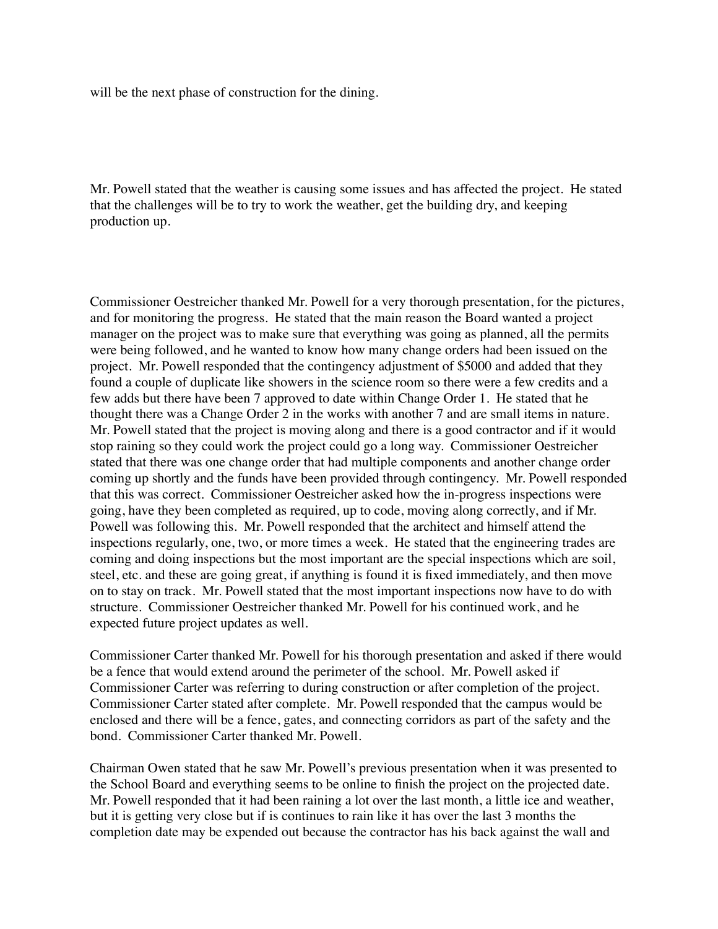will be the next phase of construction for the dining.

Mr. Powell stated that the weather is causing some issues and has affected the project. He stated that the challenges will be to try to work the weather, get the building dry, and keeping production up.

Commissioner Oestreicher thanked Mr. Powell for a very thorough presentation, for the pictures, and for monitoring the progress. He stated that the main reason the Board wanted a project manager on the project was to make sure that everything was going as planned, all the permits were being followed, and he wanted to know how many change orders had been issued on the project. Mr. Powell responded that the contingency adjustment of \$5000 and added that they found a couple of duplicate like showers in the science room so there were a few credits and a few adds but there have been 7 approved to date within Change Order 1. He stated that he thought there was a Change Order 2 in the works with another 7 and are small items in nature. Mr. Powell stated that the project is moving along and there is a good contractor and if it would stop raining so they could work the project could go a long way. Commissioner Oestreicher stated that there was one change order that had multiple components and another change order coming up shortly and the funds have been provided through contingency. Mr. Powell responded that this was correct. Commissioner Oestreicher asked how the in-progress inspections were going, have they been completed as required, up to code, moving along correctly, and if Mr. Powell was following this. Mr. Powell responded that the architect and himself attend the inspections regularly, one, two, or more times a week. He stated that the engineering trades are coming and doing inspections but the most important are the special inspections which are soil, steel, etc. and these are going great, if anything is found it is fixed immediately, and then move on to stay on track. Mr. Powell stated that the most important inspections now have to do with structure. Commissioner Oestreicher thanked Mr. Powell for his continued work, and he expected future project updates as well.

Commissioner Carter thanked Mr. Powell for his thorough presentation and asked if there would be a fence that would extend around the perimeter of the school. Mr. Powell asked if Commissioner Carter was referring to during construction or after completion of the project. Commissioner Carter stated after complete. Mr. Powell responded that the campus would be enclosed and there will be a fence, gates, and connecting corridors as part of the safety and the bond. Commissioner Carter thanked Mr. Powell.

Chairman Owen stated that he saw Mr. Powell's previous presentation when it was presented to the School Board and everything seems to be online to finish the project on the projected date. Mr. Powell responded that it had been raining a lot over the last month, a little ice and weather, but it is getting very close but if is continues to rain like it has over the last 3 months the completion date may be expended out because the contractor has his back against the wall and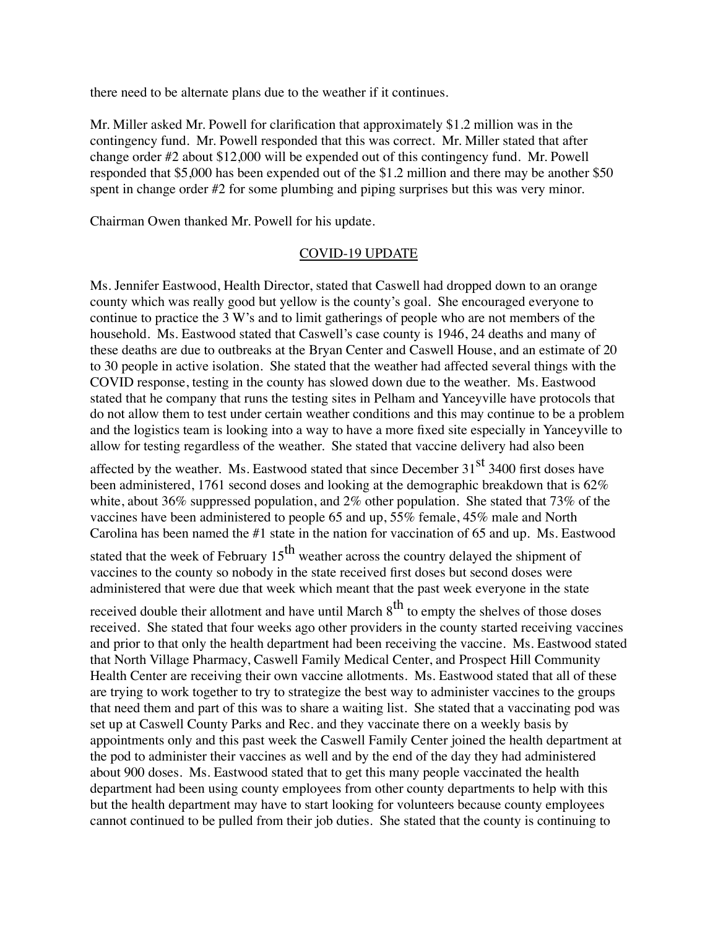there need to be alternate plans due to the weather if it continues.

Mr. Miller asked Mr. Powell for clarification that approximately \$1.2 million was in the contingency fund. Mr. Powell responded that this was correct. Mr. Miller stated that after change order #2 about \$12,000 will be expended out of this contingency fund. Mr. Powell responded that \$5,000 has been expended out of the \$1.2 million and there may be another \$50 spent in change order #2 for some plumbing and piping surprises but this was very minor.

Chairman Owen thanked Mr. Powell for his update.

#### COVID-19 UPDATE

Ms. Jennifer Eastwood, Health Director, stated that Caswell had dropped down to an orange county which was really good but yellow is the county's goal. She encouraged everyone to continue to practice the 3 W's and to limit gatherings of people who are not members of the household. Ms. Eastwood stated that Caswell's case county is 1946, 24 deaths and many of these deaths are due to outbreaks at the Bryan Center and Caswell House, and an estimate of 20 to 30 people in active isolation. She stated that the weather had affected several things with the COVID response, testing in the county has slowed down due to the weather. Ms. Eastwood stated that he company that runs the testing sites in Pelham and Yanceyville have protocols that do not allow them to test under certain weather conditions and this may continue to be a problem and the logistics team is looking into a way to have a more fixed site especially in Yanceyville to allow for testing regardless of the weather. She stated that vaccine delivery had also been

affected by the weather. Ms. Eastwood stated that since December  $31<sup>st</sup> 3400$  first doses have been administered, 1761 second doses and looking at the demographic breakdown that is 62% white, about 36% suppressed population, and 2% other population. She stated that 73% of the vaccines have been administered to people 65 and up, 55% female, 45% male and North Carolina has been named the #1 state in the nation for vaccination of 65 and up. Ms. Eastwood

stated that the week of February  $15<sup>th</sup>$  weather across the country delayed the shipment of vaccines to the county so nobody in the state received first doses but second doses were administered that were due that week which meant that the past week everyone in the state

received double their allotment and have until March  $8<sup>th</sup>$  to empty the shelves of those doses received. She stated that four weeks ago other providers in the county started receiving vaccines and prior to that only the health department had been receiving the vaccine. Ms. Eastwood stated that North Village Pharmacy, Caswell Family Medical Center, and Prospect Hill Community Health Center are receiving their own vaccine allotments. Ms. Eastwood stated that all of these are trying to work together to try to strategize the best way to administer vaccines to the groups that need them and part of this was to share a waiting list. She stated that a vaccinating pod was set up at Caswell County Parks and Rec. and they vaccinate there on a weekly basis by appointments only and this past week the Caswell Family Center joined the health department at the pod to administer their vaccines as well and by the end of the day they had administered about 900 doses. Ms. Eastwood stated that to get this many people vaccinated the health department had been using county employees from other county departments to help with this but the health department may have to start looking for volunteers because county employees cannot continued to be pulled from their job duties. She stated that the county is continuing to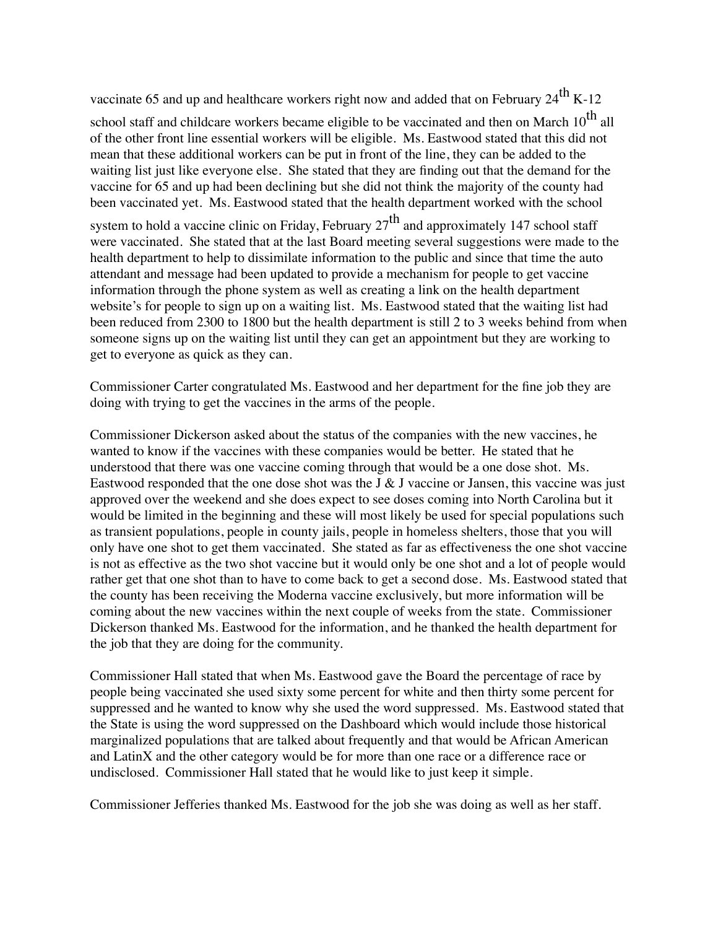vaccinate 65 and up and healthcare workers right now and added that on February  $24^{th}$  K-12

school staff and childcare workers became eligible to be vaccinated and then on March 10<sup>th</sup> all of the other front line essential workers will be eligible. Ms. Eastwood stated that this did not mean that these additional workers can be put in front of the line, they can be added to the waiting list just like everyone else. She stated that they are finding out that the demand for the vaccine for 65 and up had been declining but she did not think the majority of the county had been vaccinated yet. Ms. Eastwood stated that the health department worked with the school

system to hold a vaccine clinic on Friday, February  $27<sup>th</sup>$  and approximately 147 school staff were vaccinated. She stated that at the last Board meeting several suggestions were made to the health department to help to dissimilate information to the public and since that time the auto attendant and message had been updated to provide a mechanism for people to get vaccine information through the phone system as well as creating a link on the health department website's for people to sign up on a waiting list. Ms. Eastwood stated that the waiting list had been reduced from 2300 to 1800 but the health department is still 2 to 3 weeks behind from when someone signs up on the waiting list until they can get an appointment but they are working to get to everyone as quick as they can.

Commissioner Carter congratulated Ms. Eastwood and her department for the fine job they are doing with trying to get the vaccines in the arms of the people.

Commissioner Dickerson asked about the status of the companies with the new vaccines, he wanted to know if the vaccines with these companies would be better. He stated that he understood that there was one vaccine coming through that would be a one dose shot. Ms. Eastwood responded that the one dose shot was the J  $\&$  J vaccine or Jansen, this vaccine was just approved over the weekend and she does expect to see doses coming into North Carolina but it would be limited in the beginning and these will most likely be used for special populations such as transient populations, people in county jails, people in homeless shelters, those that you will only have one shot to get them vaccinated. She stated as far as effectiveness the one shot vaccine is not as effective as the two shot vaccine but it would only be one shot and a lot of people would rather get that one shot than to have to come back to get a second dose. Ms. Eastwood stated that the county has been receiving the Moderna vaccine exclusively, but more information will be coming about the new vaccines within the next couple of weeks from the state. Commissioner Dickerson thanked Ms. Eastwood for the information, and he thanked the health department for the job that they are doing for the community.

Commissioner Hall stated that when Ms. Eastwood gave the Board the percentage of race by people being vaccinated she used sixty some percent for white and then thirty some percent for suppressed and he wanted to know why she used the word suppressed. Ms. Eastwood stated that the State is using the word suppressed on the Dashboard which would include those historical marginalized populations that are talked about frequently and that would be African American and LatinX and the other category would be for more than one race or a difference race or undisclosed. Commissioner Hall stated that he would like to just keep it simple.

Commissioner Jefferies thanked Ms. Eastwood for the job she was doing as well as her staff.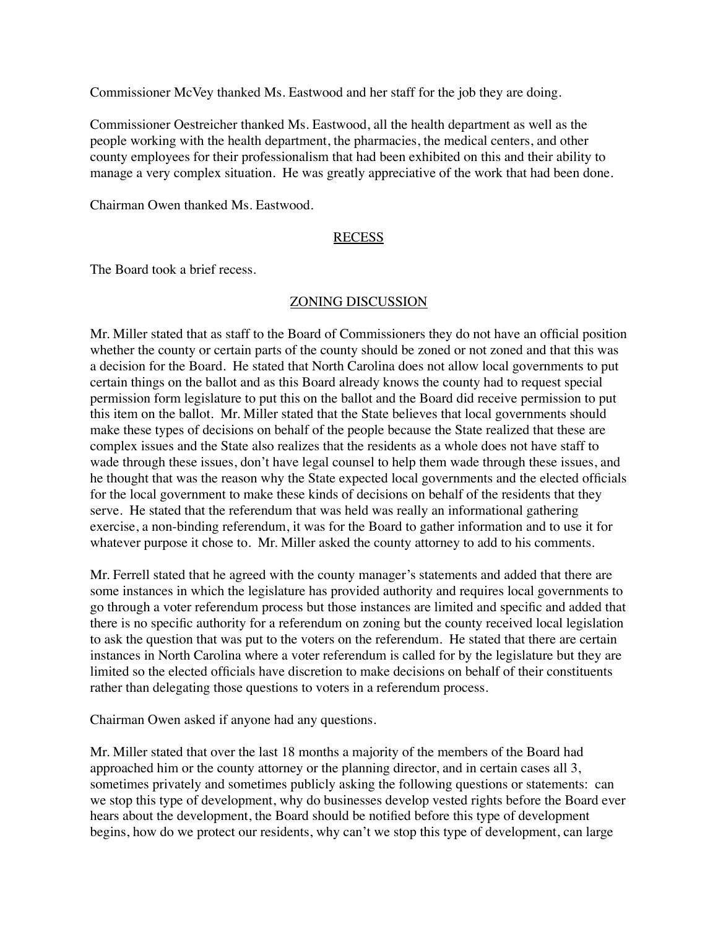Commissioner McVey thanked Ms. Eastwood and her staff for the job they are doing.

Commissioner Oestreicher thanked Ms. Eastwood, all the health department as well as the people working with the health department, the pharmacies, the medical centers, and other county employees for their professionalism that had been exhibited on this and their ability to manage a very complex situation. He was greatly appreciative of the work that had been done.

Chairman Owen thanked Ms. Eastwood.

## RECESS

The Board took a brief recess.

## ZONING DISCUSSION

Mr. Miller stated that as staff to the Board of Commissioners they do not have an official position whether the county or certain parts of the county should be zoned or not zoned and that this was a decision for the Board. He stated that North Carolina does not allow local governments to put certain things on the ballot and as this Board already knows the county had to request special permission form legislature to put this on the ballot and the Board did receive permission to put this item on the ballot. Mr. Miller stated that the State believes that local governments should make these types of decisions on behalf of the people because the State realized that these are complex issues and the State also realizes that the residents as a whole does not have staff to wade through these issues, don't have legal counsel to help them wade through these issues, and he thought that was the reason why the State expected local governments and the elected officials for the local government to make these kinds of decisions on behalf of the residents that they serve. He stated that the referendum that was held was really an informational gathering exercise, a non-binding referendum, it was for the Board to gather information and to use it for whatever purpose it chose to. Mr. Miller asked the county attorney to add to his comments.

Mr. Ferrell stated that he agreed with the county manager's statements and added that there are some instances in which the legislature has provided authority and requires local governments to go through a voter referendum process but those instances are limited and specific and added that there is no specific authority for a referendum on zoning but the county received local legislation to ask the question that was put to the voters on the referendum. He stated that there are certain instances in North Carolina where a voter referendum is called for by the legislature but they are limited so the elected officials have discretion to make decisions on behalf of their constituents rather than delegating those questions to voters in a referendum process.

Chairman Owen asked if anyone had any questions.

Mr. Miller stated that over the last 18 months a majority of the members of the Board had approached him or the county attorney or the planning director, and in certain cases all 3, sometimes privately and sometimes publicly asking the following questions or statements: can we stop this type of development, why do businesses develop vested rights before the Board ever hears about the development, the Board should be notified before this type of development begins, how do we protect our residents, why can't we stop this type of development, can large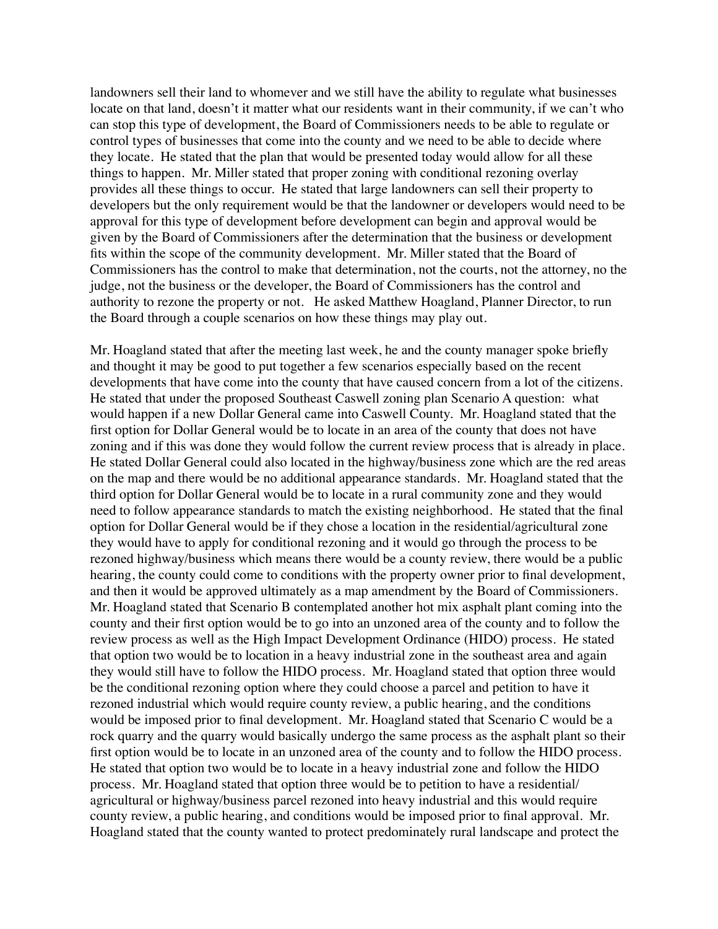landowners sell their land to whomever and we still have the ability to regulate what businesses locate on that land, doesn't it matter what our residents want in their community, if we can't who can stop this type of development, the Board of Commissioners needs to be able to regulate or control types of businesses that come into the county and we need to be able to decide where they locate. He stated that the plan that would be presented today would allow for all these things to happen. Mr. Miller stated that proper zoning with conditional rezoning overlay provides all these things to occur. He stated that large landowners can sell their property to developers but the only requirement would be that the landowner or developers would need to be approval for this type of development before development can begin and approval would be given by the Board of Commissioners after the determination that the business or development fits within the scope of the community development. Mr. Miller stated that the Board of Commissioners has the control to make that determination, not the courts, not the attorney, no the judge, not the business or the developer, the Board of Commissioners has the control and authority to rezone the property or not. He asked Matthew Hoagland, Planner Director, to run the Board through a couple scenarios on how these things may play out.

Mr. Hoagland stated that after the meeting last week, he and the county manager spoke briefly and thought it may be good to put together a few scenarios especially based on the recent developments that have come into the county that have caused concern from a lot of the citizens. He stated that under the proposed Southeast Caswell zoning plan Scenario A question: what would happen if a new Dollar General came into Caswell County. Mr. Hoagland stated that the first option for Dollar General would be to locate in an area of the county that does not have zoning and if this was done they would follow the current review process that is already in place. He stated Dollar General could also located in the highway/business zone which are the red areas on the map and there would be no additional appearance standards. Mr. Hoagland stated that the third option for Dollar General would be to locate in a rural community zone and they would need to follow appearance standards to match the existing neighborhood. He stated that the final option for Dollar General would be if they chose a location in the residential/agricultural zone they would have to apply for conditional rezoning and it would go through the process to be rezoned highway/business which means there would be a county review, there would be a public hearing, the county could come to conditions with the property owner prior to final development, and then it would be approved ultimately as a map amendment by the Board of Commissioners. Mr. Hoagland stated that Scenario B contemplated another hot mix asphalt plant coming into the county and their first option would be to go into an unzoned area of the county and to follow the review process as well as the High Impact Development Ordinance (HIDO) process. He stated that option two would be to location in a heavy industrial zone in the southeast area and again they would still have to follow the HIDO process. Mr. Hoagland stated that option three would be the conditional rezoning option where they could choose a parcel and petition to have it rezoned industrial which would require county review, a public hearing, and the conditions would be imposed prior to final development. Mr. Hoagland stated that Scenario C would be a rock quarry and the quarry would basically undergo the same process as the asphalt plant so their first option would be to locate in an unzoned area of the county and to follow the HIDO process. He stated that option two would be to locate in a heavy industrial zone and follow the HIDO process. Mr. Hoagland stated that option three would be to petition to have a residential/ agricultural or highway/business parcel rezoned into heavy industrial and this would require county review, a public hearing, and conditions would be imposed prior to final approval. Mr. Hoagland stated that the county wanted to protect predominately rural landscape and protect the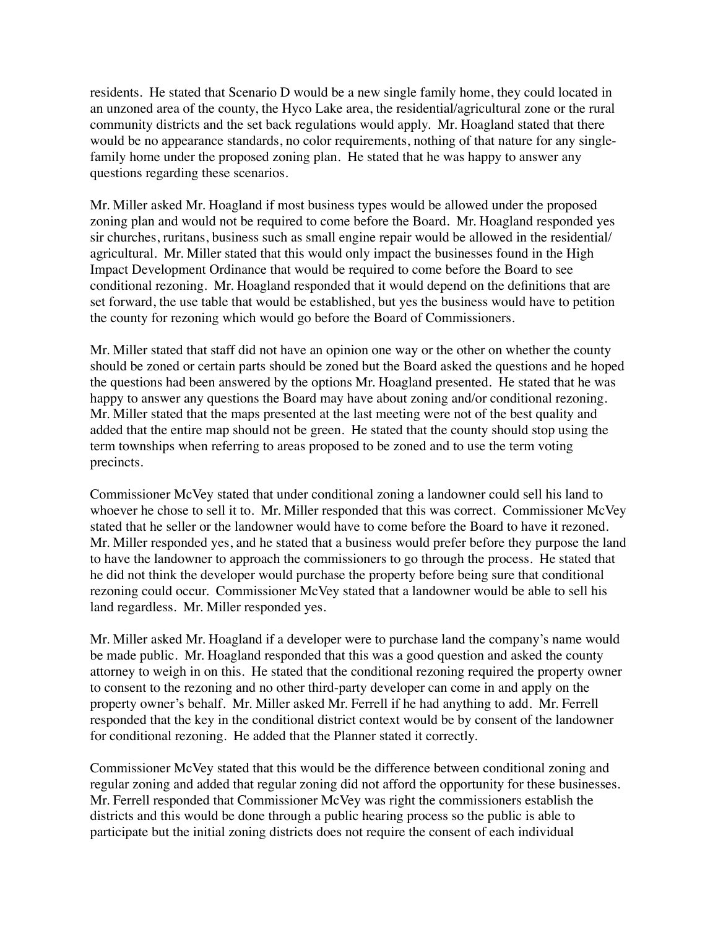residents. He stated that Scenario D would be a new single family home, they could located in an unzoned area of the county, the Hyco Lake area, the residential/agricultural zone or the rural community districts and the set back regulations would apply. Mr. Hoagland stated that there would be no appearance standards, no color requirements, nothing of that nature for any singlefamily home under the proposed zoning plan. He stated that he was happy to answer any questions regarding these scenarios.

Mr. Miller asked Mr. Hoagland if most business types would be allowed under the proposed zoning plan and would not be required to come before the Board. Mr. Hoagland responded yes sir churches, ruritans, business such as small engine repair would be allowed in the residential/ agricultural. Mr. Miller stated that this would only impact the businesses found in the High Impact Development Ordinance that would be required to come before the Board to see conditional rezoning. Mr. Hoagland responded that it would depend on the definitions that are set forward, the use table that would be established, but yes the business would have to petition the county for rezoning which would go before the Board of Commissioners.

Mr. Miller stated that staff did not have an opinion one way or the other on whether the county should be zoned or certain parts should be zoned but the Board asked the questions and he hoped the questions had been answered by the options Mr. Hoagland presented. He stated that he was happy to answer any questions the Board may have about zoning and/or conditional rezoning. Mr. Miller stated that the maps presented at the last meeting were not of the best quality and added that the entire map should not be green. He stated that the county should stop using the term townships when referring to areas proposed to be zoned and to use the term voting precincts.

Commissioner McVey stated that under conditional zoning a landowner could sell his land to whoever he chose to sell it to. Mr. Miller responded that this was correct. Commissioner McVey stated that he seller or the landowner would have to come before the Board to have it rezoned. Mr. Miller responded yes, and he stated that a business would prefer before they purpose the land to have the landowner to approach the commissioners to go through the process. He stated that he did not think the developer would purchase the property before being sure that conditional rezoning could occur. Commissioner McVey stated that a landowner would be able to sell his land regardless. Mr. Miller responded yes.

Mr. Miller asked Mr. Hoagland if a developer were to purchase land the company's name would be made public. Mr. Hoagland responded that this was a good question and asked the county attorney to weigh in on this. He stated that the conditional rezoning required the property owner to consent to the rezoning and no other third-party developer can come in and apply on the property owner's behalf. Mr. Miller asked Mr. Ferrell if he had anything to add. Mr. Ferrell responded that the key in the conditional district context would be by consent of the landowner for conditional rezoning. He added that the Planner stated it correctly.

Commissioner McVey stated that this would be the difference between conditional zoning and regular zoning and added that regular zoning did not afford the opportunity for these businesses. Mr. Ferrell responded that Commissioner McVey was right the commissioners establish the districts and this would be done through a public hearing process so the public is able to participate but the initial zoning districts does not require the consent of each individual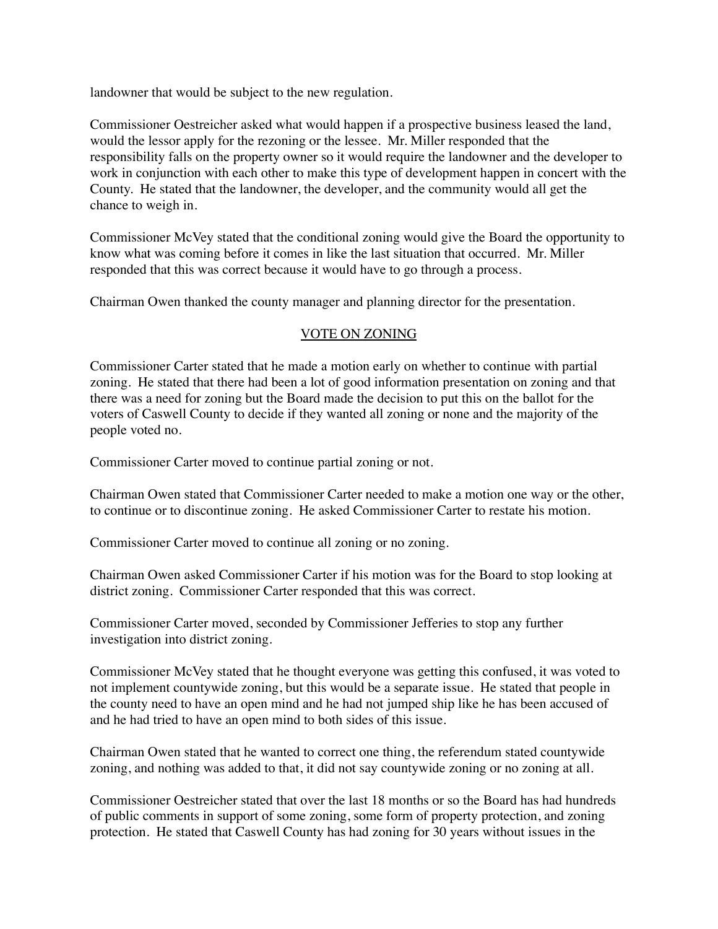landowner that would be subject to the new regulation.

Commissioner Oestreicher asked what would happen if a prospective business leased the land, would the lessor apply for the rezoning or the lessee. Mr. Miller responded that the responsibility falls on the property owner so it would require the landowner and the developer to work in conjunction with each other to make this type of development happen in concert with the County. He stated that the landowner, the developer, and the community would all get the chance to weigh in.

Commissioner McVey stated that the conditional zoning would give the Board the opportunity to know what was coming before it comes in like the last situation that occurred. Mr. Miller responded that this was correct because it would have to go through a process.

Chairman Owen thanked the county manager and planning director for the presentation.

# VOTE ON ZONING

Commissioner Carter stated that he made a motion early on whether to continue with partial zoning. He stated that there had been a lot of good information presentation on zoning and that there was a need for zoning but the Board made the decision to put this on the ballot for the voters of Caswell County to decide if they wanted all zoning or none and the majority of the people voted no.

Commissioner Carter moved to continue partial zoning or not.

Chairman Owen stated that Commissioner Carter needed to make a motion one way or the other, to continue or to discontinue zoning. He asked Commissioner Carter to restate his motion.

Commissioner Carter moved to continue all zoning or no zoning.

Chairman Owen asked Commissioner Carter if his motion was for the Board to stop looking at district zoning. Commissioner Carter responded that this was correct.

Commissioner Carter moved, seconded by Commissioner Jefferies to stop any further investigation into district zoning.

Commissioner McVey stated that he thought everyone was getting this confused, it was voted to not implement countywide zoning, but this would be a separate issue. He stated that people in the county need to have an open mind and he had not jumped ship like he has been accused of and he had tried to have an open mind to both sides of this issue.

Chairman Owen stated that he wanted to correct one thing, the referendum stated countywide zoning, and nothing was added to that, it did not say countywide zoning or no zoning at all.

Commissioner Oestreicher stated that over the last 18 months or so the Board has had hundreds of public comments in support of some zoning, some form of property protection, and zoning protection. He stated that Caswell County has had zoning for 30 years without issues in the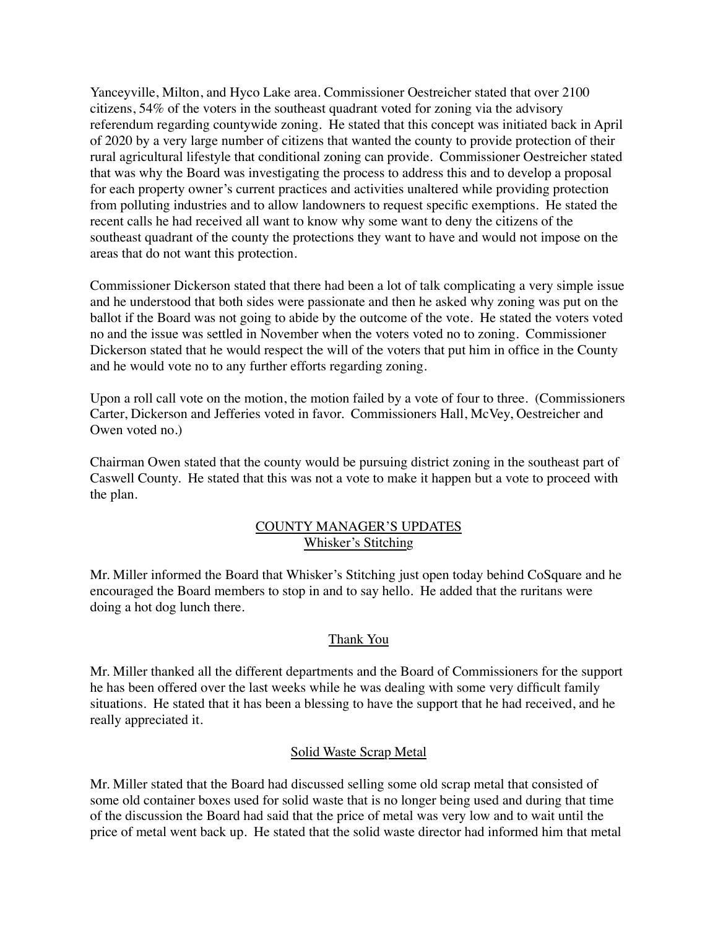Yanceyville, Milton, and Hyco Lake area. Commissioner Oestreicher stated that over 2100 citizens, 54% of the voters in the southeast quadrant voted for zoning via the advisory referendum regarding countywide zoning. He stated that this concept was initiated back in April of 2020 by a very large number of citizens that wanted the county to provide protection of their rural agricultural lifestyle that conditional zoning can provide. Commissioner Oestreicher stated that was why the Board was investigating the process to address this and to develop a proposal for each property owner's current practices and activities unaltered while providing protection from polluting industries and to allow landowners to request specific exemptions. He stated the recent calls he had received all want to know why some want to deny the citizens of the southeast quadrant of the county the protections they want to have and would not impose on the areas that do not want this protection.

Commissioner Dickerson stated that there had been a lot of talk complicating a very simple issue and he understood that both sides were passionate and then he asked why zoning was put on the ballot if the Board was not going to abide by the outcome of the vote. He stated the voters voted no and the issue was settled in November when the voters voted no to zoning. Commissioner Dickerson stated that he would respect the will of the voters that put him in office in the County and he would vote no to any further efforts regarding zoning.

Upon a roll call vote on the motion, the motion failed by a vote of four to three. (Commissioners Carter, Dickerson and Jefferies voted in favor. Commissioners Hall, McVey, Oestreicher and Owen voted no.)

Chairman Owen stated that the county would be pursuing district zoning in the southeast part of Caswell County. He stated that this was not a vote to make it happen but a vote to proceed with the plan.

## COUNTY MANAGER'S UPDATES Whisker's Stitching

Mr. Miller informed the Board that Whisker's Stitching just open today behind CoSquare and he encouraged the Board members to stop in and to say hello. He added that the ruritans were doing a hot dog lunch there.

## Thank You

Mr. Miller thanked all the different departments and the Board of Commissioners for the support he has been offered over the last weeks while he was dealing with some very difficult family situations. He stated that it has been a blessing to have the support that he had received, and he really appreciated it.

## Solid Waste Scrap Metal

Mr. Miller stated that the Board had discussed selling some old scrap metal that consisted of some old container boxes used for solid waste that is no longer being used and during that time of the discussion the Board had said that the price of metal was very low and to wait until the price of metal went back up. He stated that the solid waste director had informed him that metal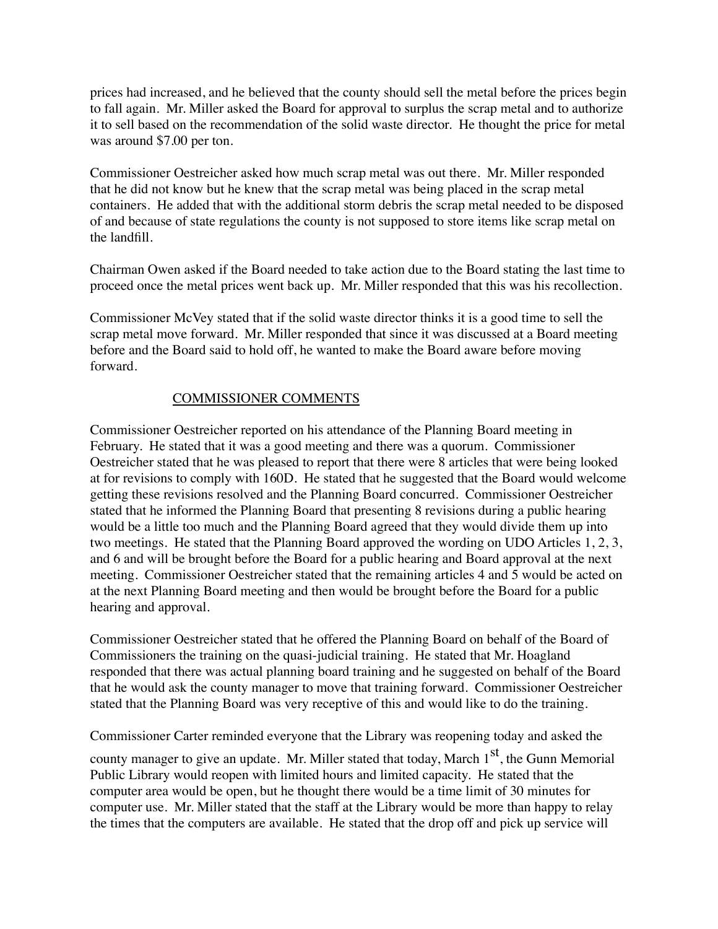prices had increased, and he believed that the county should sell the metal before the prices begin to fall again. Mr. Miller asked the Board for approval to surplus the scrap metal and to authorize it to sell based on the recommendation of the solid waste director. He thought the price for metal was around \$7.00 per ton.

Commissioner Oestreicher asked how much scrap metal was out there. Mr. Miller responded that he did not know but he knew that the scrap metal was being placed in the scrap metal containers. He added that with the additional storm debris the scrap metal needed to be disposed of and because of state regulations the county is not supposed to store items like scrap metal on the landfill.

Chairman Owen asked if the Board needed to take action due to the Board stating the last time to proceed once the metal prices went back up. Mr. Miller responded that this was his recollection.

Commissioner McVey stated that if the solid waste director thinks it is a good time to sell the scrap metal move forward. Mr. Miller responded that since it was discussed at a Board meeting before and the Board said to hold off, he wanted to make the Board aware before moving forward.

## COMMISSIONER COMMENTS

Commissioner Oestreicher reported on his attendance of the Planning Board meeting in February. He stated that it was a good meeting and there was a quorum. Commissioner Oestreicher stated that he was pleased to report that there were 8 articles that were being looked at for revisions to comply with 160D. He stated that he suggested that the Board would welcome getting these revisions resolved and the Planning Board concurred. Commissioner Oestreicher stated that he informed the Planning Board that presenting 8 revisions during a public hearing would be a little too much and the Planning Board agreed that they would divide them up into two meetings. He stated that the Planning Board approved the wording on UDO Articles 1, 2, 3, and 6 and will be brought before the Board for a public hearing and Board approval at the next meeting. Commissioner Oestreicher stated that the remaining articles 4 and 5 would be acted on at the next Planning Board meeting and then would be brought before the Board for a public hearing and approval.

Commissioner Oestreicher stated that he offered the Planning Board on behalf of the Board of Commissioners the training on the quasi-judicial training. He stated that Mr. Hoagland responded that there was actual planning board training and he suggested on behalf of the Board that he would ask the county manager to move that training forward. Commissioner Oestreicher stated that the Planning Board was very receptive of this and would like to do the training.

Commissioner Carter reminded everyone that the Library was reopening today and asked the

county manager to give an update. Mr. Miller stated that today, March  $1<sup>st</sup>$ , the Gunn Memorial Public Library would reopen with limited hours and limited capacity. He stated that the computer area would be open, but he thought there would be a time limit of 30 minutes for computer use. Mr. Miller stated that the staff at the Library would be more than happy to relay the times that the computers are available. He stated that the drop off and pick up service will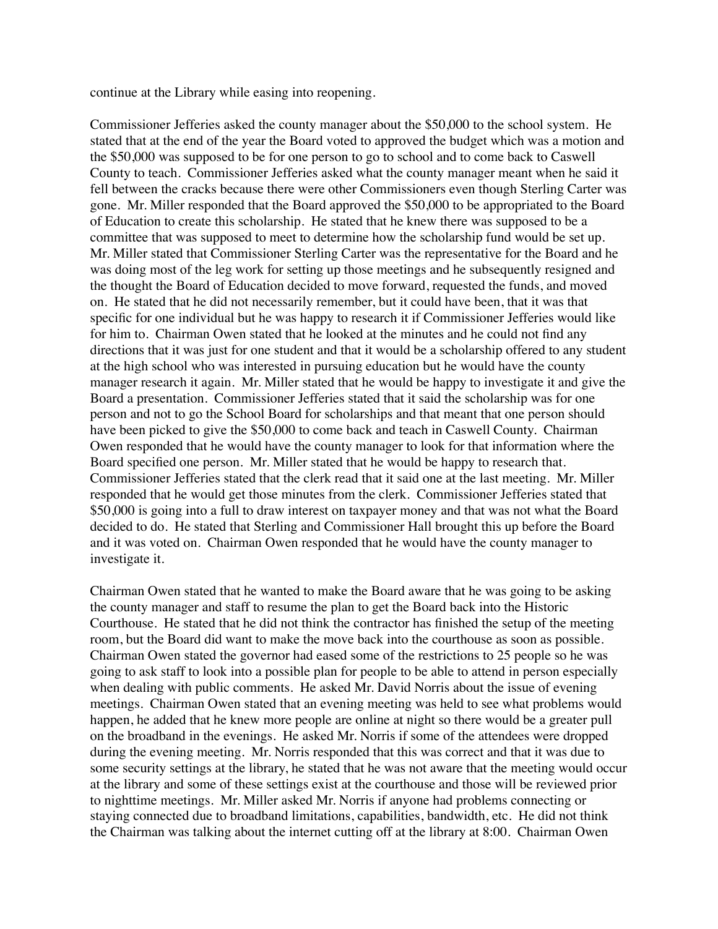continue at the Library while easing into reopening.

Commissioner Jefferies asked the county manager about the \$50,000 to the school system. He stated that at the end of the year the Board voted to approved the budget which was a motion and the \$50,000 was supposed to be for one person to go to school and to come back to Caswell County to teach. Commissioner Jefferies asked what the county manager meant when he said it fell between the cracks because there were other Commissioners even though Sterling Carter was gone. Mr. Miller responded that the Board approved the \$50,000 to be appropriated to the Board of Education to create this scholarship. He stated that he knew there was supposed to be a committee that was supposed to meet to determine how the scholarship fund would be set up. Mr. Miller stated that Commissioner Sterling Carter was the representative for the Board and he was doing most of the leg work for setting up those meetings and he subsequently resigned and the thought the Board of Education decided to move forward, requested the funds, and moved on. He stated that he did not necessarily remember, but it could have been, that it was that specific for one individual but he was happy to research it if Commissioner Jefferies would like for him to. Chairman Owen stated that he looked at the minutes and he could not find any directions that it was just for one student and that it would be a scholarship offered to any student at the high school who was interested in pursuing education but he would have the county manager research it again. Mr. Miller stated that he would be happy to investigate it and give the Board a presentation. Commissioner Jefferies stated that it said the scholarship was for one person and not to go the School Board for scholarships and that meant that one person should have been picked to give the \$50,000 to come back and teach in Caswell County. Chairman Owen responded that he would have the county manager to look for that information where the Board specified one person. Mr. Miller stated that he would be happy to research that. Commissioner Jefferies stated that the clerk read that it said one at the last meeting. Mr. Miller responded that he would get those minutes from the clerk. Commissioner Jefferies stated that \$50,000 is going into a full to draw interest on taxpayer money and that was not what the Board decided to do. He stated that Sterling and Commissioner Hall brought this up before the Board and it was voted on. Chairman Owen responded that he would have the county manager to investigate it.

Chairman Owen stated that he wanted to make the Board aware that he was going to be asking the county manager and staff to resume the plan to get the Board back into the Historic Courthouse. He stated that he did not think the contractor has finished the setup of the meeting room, but the Board did want to make the move back into the courthouse as soon as possible. Chairman Owen stated the governor had eased some of the restrictions to 25 people so he was going to ask staff to look into a possible plan for people to be able to attend in person especially when dealing with public comments. He asked Mr. David Norris about the issue of evening meetings. Chairman Owen stated that an evening meeting was held to see what problems would happen, he added that he knew more people are online at night so there would be a greater pull on the broadband in the evenings. He asked Mr. Norris if some of the attendees were dropped during the evening meeting. Mr. Norris responded that this was correct and that it was due to some security settings at the library, he stated that he was not aware that the meeting would occur at the library and some of these settings exist at the courthouse and those will be reviewed prior to nighttime meetings. Mr. Miller asked Mr. Norris if anyone had problems connecting or staying connected due to broadband limitations, capabilities, bandwidth, etc. He did not think the Chairman was talking about the internet cutting off at the library at 8:00. Chairman Owen